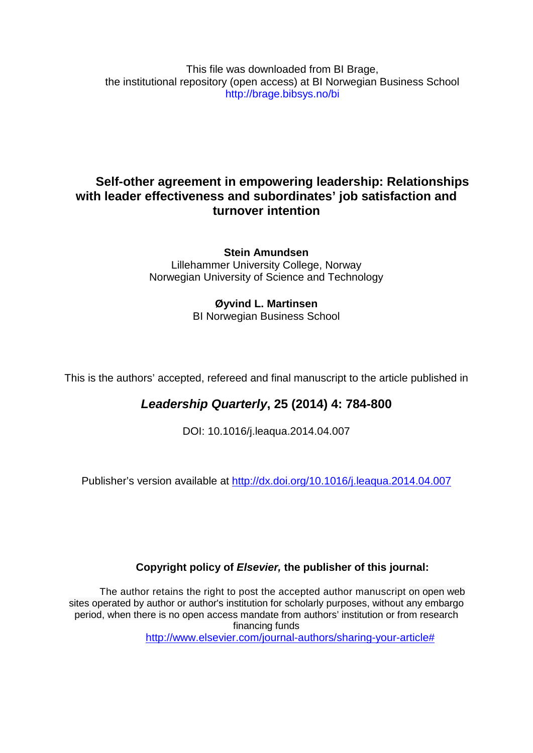This file was downloaded from BI Brage, the institutional repository (open access) at BI Norwegian Business School http://brage.bibsys.no/bi

# **Self-other agreement in empowering leadership: Relationships with leader effectiveness and subordinates' job satisfaction and turnover intention**

**Stein Amundsen** Lillehammer University College, Norway Norwegian University of Science and Technology

> **Øyvind L. Martinsen** BI Norwegian Business School

This is the authors' accepted, refereed and final manuscript to the article published in

# *Leadership Quarterly***, 25 (2014) 4: 784-800**

DOI: 10.1016/j.leaqua.2014.04.007

Publisher's version available at <http://dx.doi.org/10.1016/j.leaqua.2014.04.007>

## **Copyright policy of** *Elsevier,* **the publisher of this journal:**

The author retains the right to post the accepted author manuscript on open web sites operated by author or author's institution for scholarly purposes, without any embargo period, when there is no open access mandate from authors' institution or from research financing funds [http://www.elsevier.com/journal-authors/sharing-your-article#](http://www.elsevier.com/journal-authors/sharing-your-article)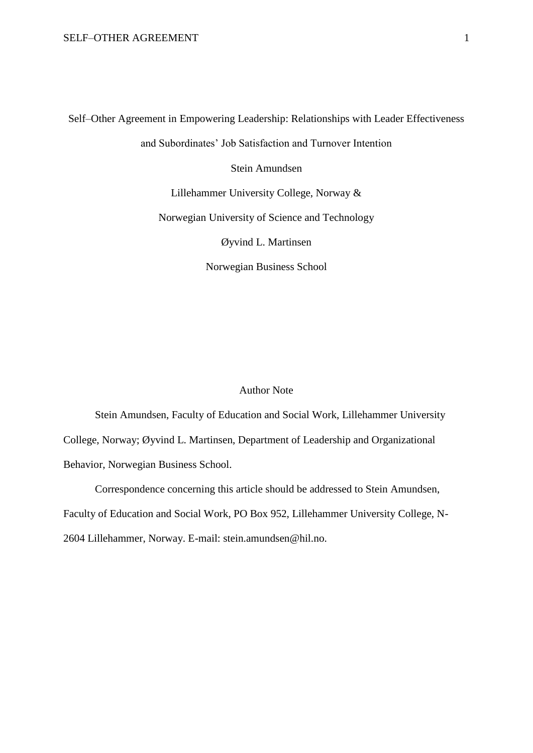Self–Other Agreement in Empowering Leadership: Relationships with Leader Effectiveness and Subordinates' Job Satisfaction and Turnover Intention Stein Amundsen Lillehammer University College, Norway & Norwegian University of Science and Technology Øyvind L. Martinsen Norwegian Business School

#### Author Note

Stein Amundsen, Faculty of Education and Social Work, Lillehammer University College, Norway; Øyvind L. Martinsen, Department of Leadership and Organizational Behavior, Norwegian Business School.

Correspondence concerning this article should be addressed to Stein Amundsen, Faculty of Education and Social Work, PO Box 952, Lillehammer University College, N-2604 Lillehammer, Norway. E-mail: stein.amundsen@hil.no.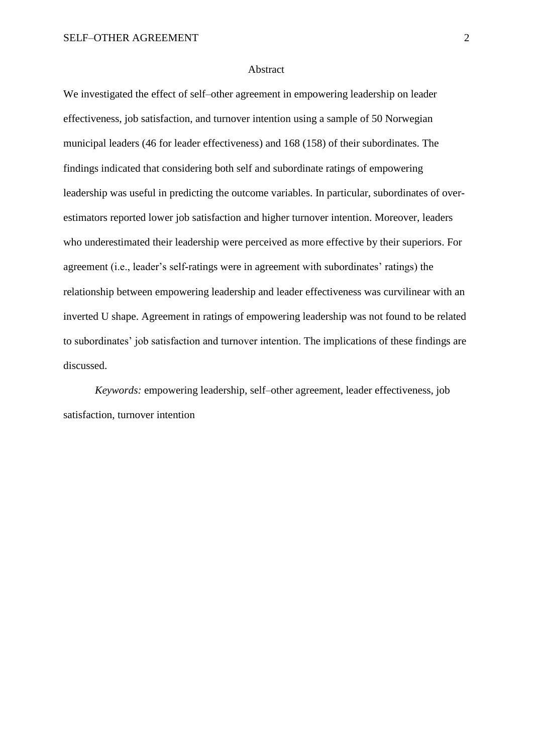#### Abstract

We investigated the effect of self–other agreement in empowering leadership on leader effectiveness, job satisfaction, and turnover intention using a sample of 50 Norwegian municipal leaders (46 for leader effectiveness) and 168 (158) of their subordinates. The findings indicated that considering both self and subordinate ratings of empowering leadership was useful in predicting the outcome variables. In particular, subordinates of overestimators reported lower job satisfaction and higher turnover intention. Moreover, leaders who underestimated their leadership were perceived as more effective by their superiors. For agreement (i.e., leader's self-ratings were in agreement with subordinates' ratings) the relationship between empowering leadership and leader effectiveness was curvilinear with an inverted U shape. Agreement in ratings of empowering leadership was not found to be related to subordinates' job satisfaction and turnover intention. The implications of these findings are discussed.

*Keywords:* empowering leadership, self–other agreement, leader effectiveness, job satisfaction, turnover intention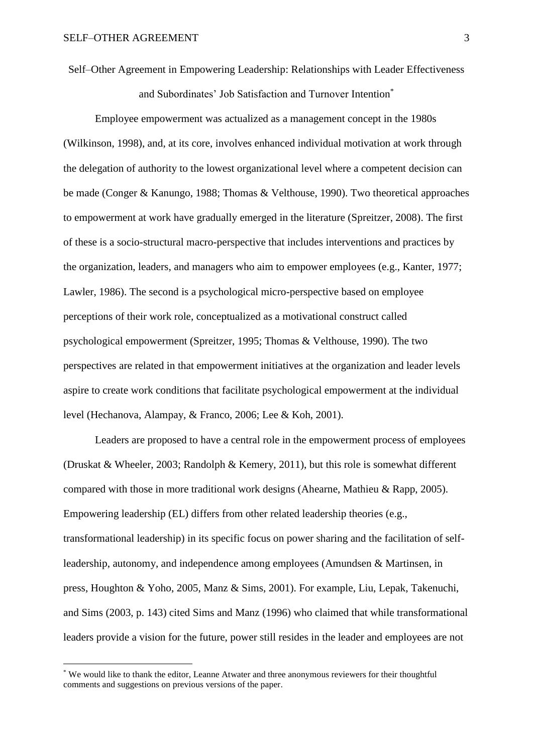Self–Other Agreement in Empowering Leadership: Relationships with Leader Effectiveness and Subordinates' Job Satisfaction and Turnover Intention\*

Employee empowerment was actualized as a management concept in the 1980s (Wilkinson, 1998), and, at its core, involves enhanced individual motivation at work through the delegation of authority to the lowest organizational level where a competent decision can be made (Conger & Kanungo, 1988; Thomas & Velthouse, 1990). Two theoretical approaches to empowerment at work have gradually emerged in the literature (Spreitzer, 2008). The first of these is a socio-structural macro-perspective that includes interventions and practices by the organization, leaders, and managers who aim to empower employees (e.g., Kanter, 1977; Lawler, 1986). The second is a psychological micro-perspective based on employee perceptions of their work role, conceptualized as a motivational construct called psychological empowerment (Spreitzer, 1995; Thomas & Velthouse, 1990). The two perspectives are related in that empowerment initiatives at the organization and leader levels aspire to create work conditions that facilitate psychological empowerment at the individual level (Hechanova, Alampay, & Franco, 2006; Lee & Koh, 2001).

Leaders are proposed to have a central role in the empowerment process of employees (Druskat & Wheeler, 2003; Randolph & Kemery, 2011), but this role is somewhat different compared with those in more traditional work designs (Ahearne, Mathieu & Rapp, 2005). Empowering leadership (EL) differs from other related leadership theories (e.g., transformational leadership) in its specific focus on power sharing and the facilitation of selfleadership, autonomy, and independence among employees (Amundsen & Martinsen, in press, Houghton & Yoho, 2005, Manz & Sims, 2001). For example, Liu, Lepak, Takenuchi, and Sims (2003, p. 143) cited Sims and Manz (1996) who claimed that while transformational leaders provide a vision for the future, power still resides in the leader and employees are not

<u>.</u>

<sup>\*</sup> We would like to thank the editor, Leanne Atwater and three anonymous reviewers for their thoughtful comments and suggestions on previous versions of the paper.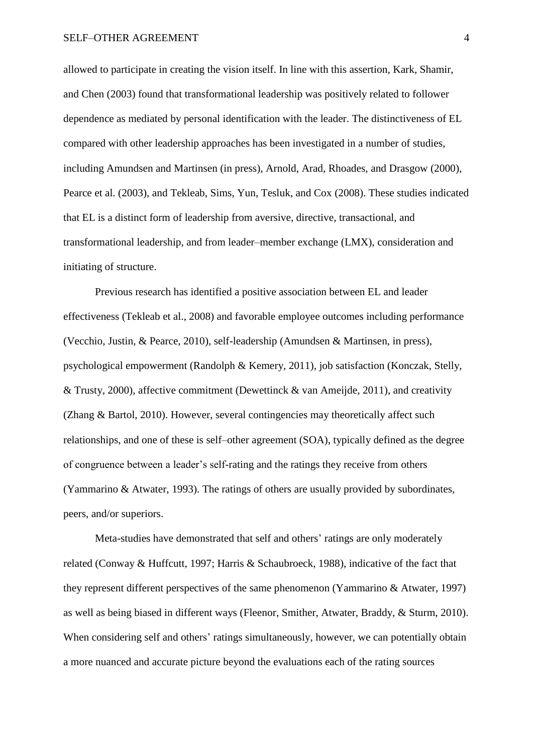allowed to participate in creating the vision itself. In line with this assertion, Kark, Shamir, and Chen (2003) found that transformational leadership was positively related to follower dependence as mediated by personal identification with the leader. The distinctiveness of EL compared with other leadership approaches has been investigated in a number of studies, including Amundsen and Martinsen (in press), Arnold, Arad, Rhoades, and Drasgow (2000), Pearce et al. (2003), and Tekleab, Sims, Yun, Tesluk, and Cox (2008). These studies indicated that EL is a distinct form of leadership from aversive, directive, transactional, and transformational leadership, and from leader–member exchange (LMX), consideration and initiating of structure.

Previous research has identified a positive association between EL and leader effectiveness (Tekleab et al., 2008) and favorable employee outcomes including performance (Vecchio, Justin, & Pearce, 2010), self-leadership (Amundsen & Martinsen, in press), psychological empowerment (Randolph & Kemery, 2011), job satisfaction (Konczak, Stelly, & Trusty, 2000), affective commitment (Dewettinck & van Ameijde, 2011), and creativity (Zhang & Bartol, 2010). However, several contingencies may theoretically affect such relationships, and one of these is self–other agreement (SOA), typically defined as the degree of congruence between a leader's self-rating and the ratings they receive from others (Yammarino & Atwater, 1993). The ratings of others are usually provided by subordinates, peers, and/or superiors.

Meta-studies have demonstrated that self and others' ratings are only moderately related (Conway & Huffcutt, 1997; Harris & Schaubroeck, 1988), indicative of the fact that they represent different perspectives of the same phenomenon (Yammarino & Atwater, 1997) as well as being biased in different ways (Fleenor, Smither, Atwater, Braddy, & Sturm, 2010). When considering self and others' ratings simultaneously, however, we can potentially obtain a more nuanced and accurate picture beyond the evaluations each of the rating sources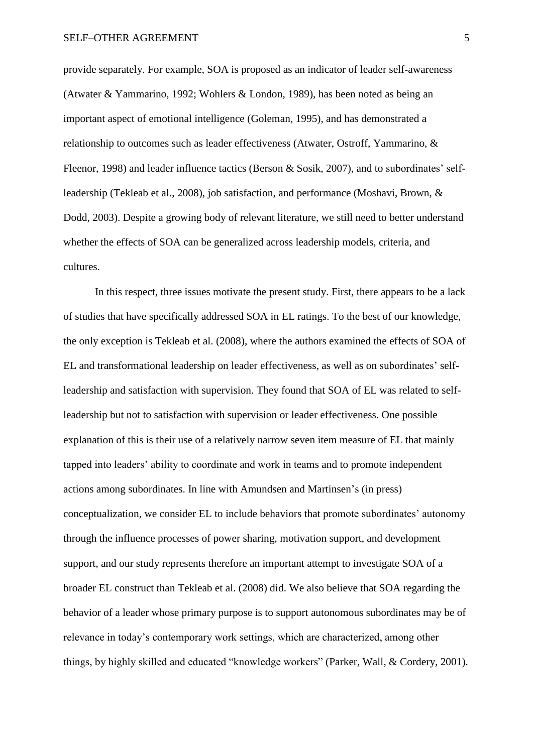provide separately. For example, SOA is proposed as an indicator of leader self-awareness (Atwater & Yammarino, 1992; Wohlers & London, 1989), has been noted as being an important aspect of emotional intelligence (Goleman, 1995), and has demonstrated a relationship to outcomes such as leader effectiveness (Atwater, Ostroff, Yammarino, & Fleenor, 1998) and leader influence tactics (Berson & Sosik, 2007), and to subordinates' selfleadership (Tekleab et al., 2008), job satisfaction, and performance (Moshavi, Brown, & Dodd, 2003). Despite a growing body of relevant literature, we still need to better understand whether the effects of SOA can be generalized across leadership models, criteria, and cultures.

In this respect, three issues motivate the present study. First, there appears to be a lack of studies that have specifically addressed SOA in EL ratings. To the best of our knowledge, the only exception is Tekleab et al. (2008), where the authors examined the effects of SOA of EL and transformational leadership on leader effectiveness, as well as on subordinates' selfleadership and satisfaction with supervision. They found that SOA of EL was related to selfleadership but not to satisfaction with supervision or leader effectiveness. One possible explanation of this is their use of a relatively narrow seven item measure of EL that mainly tapped into leaders' ability to coordinate and work in teams and to promote independent actions among subordinates. In line with Amundsen and Martinsen's (in press) conceptualization, we consider EL to include behaviors that promote subordinates' autonomy through the influence processes of power sharing, motivation support, and development support, and our study represents therefore an important attempt to investigate SOA of a broader EL construct than Tekleab et al. (2008) did. We also believe that SOA regarding the behavior of a leader whose primary purpose is to support autonomous subordinates may be of relevance in today's contemporary work settings, which are characterized, among other things, by highly skilled and educated "knowledge workers" (Parker, Wall, & Cordery, 2001).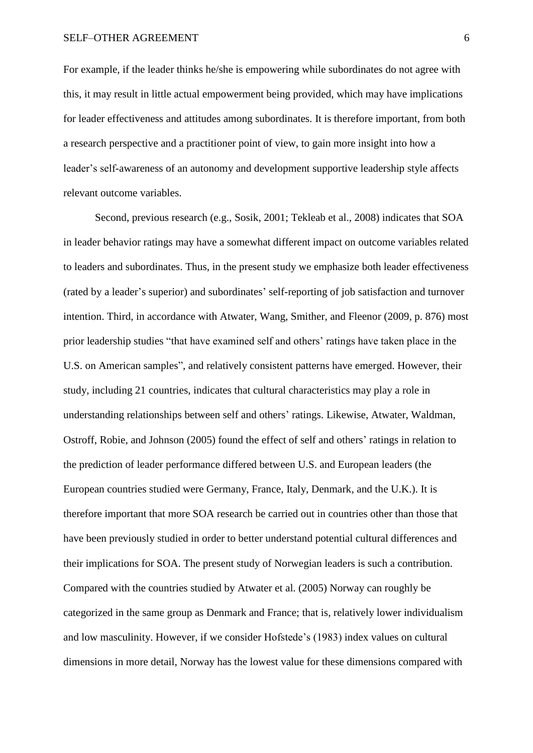For example, if the leader thinks he/she is empowering while subordinates do not agree with this, it may result in little actual empowerment being provided, which may have implications for leader effectiveness and attitudes among subordinates. It is therefore important, from both a research perspective and a practitioner point of view, to gain more insight into how a leader's self-awareness of an autonomy and development supportive leadership style affects relevant outcome variables.

Second, previous research (e.g., Sosik, 2001; Tekleab et al., 2008) indicates that SOA in leader behavior ratings may have a somewhat different impact on outcome variables related to leaders and subordinates. Thus, in the present study we emphasize both leader effectiveness (rated by a leader's superior) and subordinates' self-reporting of job satisfaction and turnover intention. Third, in accordance with Atwater, Wang, Smither, and Fleenor (2009, p. 876) most prior leadership studies "that have examined self and others' ratings have taken place in the U.S. on American samples", and relatively consistent patterns have emerged. However, their study, including 21 countries, indicates that cultural characteristics may play a role in understanding relationships between self and others' ratings. Likewise, Atwater, Waldman, Ostroff, Robie, and Johnson (2005) found the effect of self and others' ratings in relation to the prediction of leader performance differed between U.S. and European leaders (the European countries studied were Germany, France, Italy, Denmark, and the U.K.). It is therefore important that more SOA research be carried out in countries other than those that have been previously studied in order to better understand potential cultural differences and their implications for SOA. The present study of Norwegian leaders is such a contribution. Compared with the countries studied by Atwater et al. (2005) Norway can roughly be categorized in the same group as Denmark and France; that is, relatively lower individualism and low masculinity. However, if we consider Hofstede's (1983) index values on cultural dimensions in more detail, Norway has the lowest value for these dimensions compared with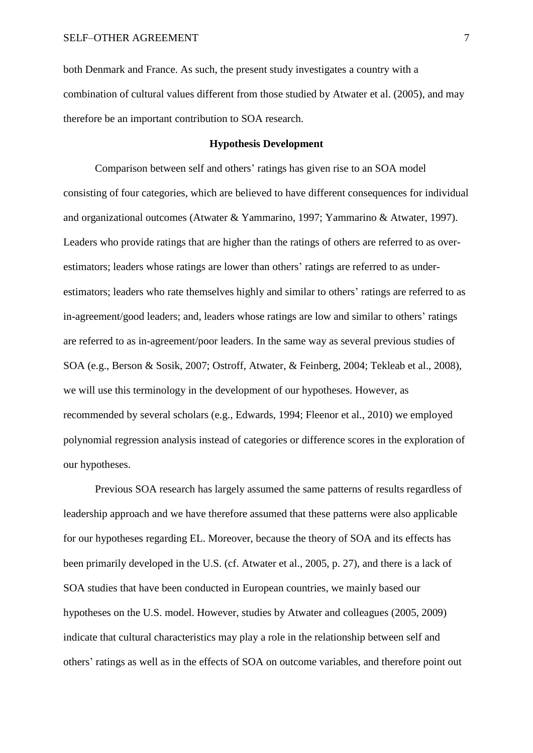both Denmark and France. As such, the present study investigates a country with a combination of cultural values different from those studied by Atwater et al. (2005), and may therefore be an important contribution to SOA research.

### **Hypothesis Development**

Comparison between self and others' ratings has given rise to an SOA model consisting of four categories, which are believed to have different consequences for individual and organizational outcomes (Atwater & Yammarino, 1997; Yammarino & Atwater, 1997). Leaders who provide ratings that are higher than the ratings of others are referred to as overestimators; leaders whose ratings are lower than others' ratings are referred to as underestimators; leaders who rate themselves highly and similar to others' ratings are referred to as in-agreement/good leaders; and, leaders whose ratings are low and similar to others' ratings are referred to as in-agreement/poor leaders. In the same way as several previous studies of SOA (e.g., Berson & Sosik, 2007; Ostroff, Atwater, & Feinberg, 2004; Tekleab et al., 2008), we will use this terminology in the development of our hypotheses. However, as recommended by several scholars (e.g., Edwards, 1994; Fleenor et al., 2010) we employed polynomial regression analysis instead of categories or difference scores in the exploration of our hypotheses.

Previous SOA research has largely assumed the same patterns of results regardless of leadership approach and we have therefore assumed that these patterns were also applicable for our hypotheses regarding EL. Moreover, because the theory of SOA and its effects has been primarily developed in the U.S. (cf. Atwater et al., 2005, p. 27), and there is a lack of SOA studies that have been conducted in European countries, we mainly based our hypotheses on the U.S. model. However, studies by Atwater and colleagues (2005, 2009) indicate that cultural characteristics may play a role in the relationship between self and others' ratings as well as in the effects of SOA on outcome variables, and therefore point out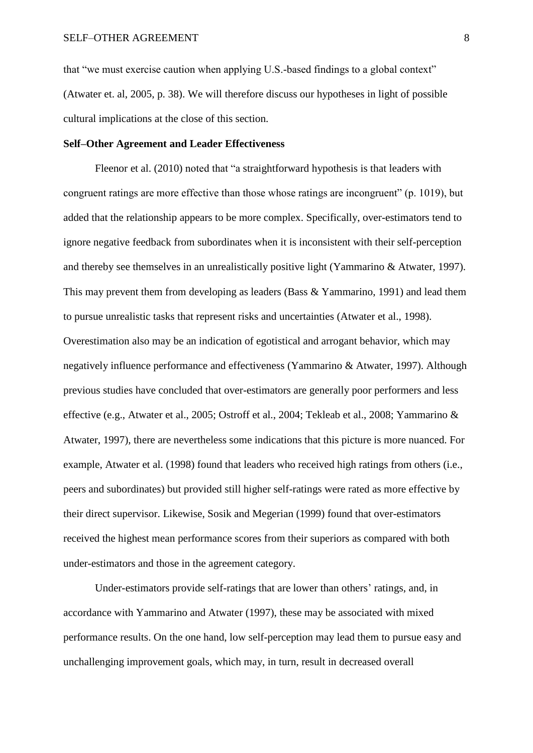that "we must exercise caution when applying U.S.-based findings to a global context" (Atwater et. al, 2005, p. 38). We will therefore discuss our hypotheses in light of possible cultural implications at the close of this section.

#### **Self–Other Agreement and Leader Effectiveness**

Fleenor et al. (2010) noted that "a straightforward hypothesis is that leaders with congruent ratings are more effective than those whose ratings are incongruent" (p. 1019), but added that the relationship appears to be more complex. Specifically, over-estimators tend to ignore negative feedback from subordinates when it is inconsistent with their self-perception and thereby see themselves in an unrealistically positive light (Yammarino & Atwater, 1997). This may prevent them from developing as leaders (Bass & Yammarino, 1991) and lead them to pursue unrealistic tasks that represent risks and uncertainties (Atwater et al., 1998). Overestimation also may be an indication of egotistical and arrogant behavior, which may negatively influence performance and effectiveness (Yammarino & Atwater, 1997). Although previous studies have concluded that over-estimators are generally poor performers and less effective (e.g., Atwater et al., 2005; Ostroff et al., 2004; Tekleab et al., 2008; Yammarino & Atwater, 1997), there are nevertheless some indications that this picture is more nuanced. For example, Atwater et al. (1998) found that leaders who received high ratings from others (i.e., peers and subordinates) but provided still higher self-ratings were rated as more effective by their direct supervisor. Likewise, Sosik and Megerian (1999) found that over-estimators received the highest mean performance scores from their superiors as compared with both under-estimators and those in the agreement category.

Under-estimators provide self-ratings that are lower than others' ratings, and, in accordance with Yammarino and Atwater (1997), these may be associated with mixed performance results. On the one hand, low self-perception may lead them to pursue easy and unchallenging improvement goals, which may, in turn, result in decreased overall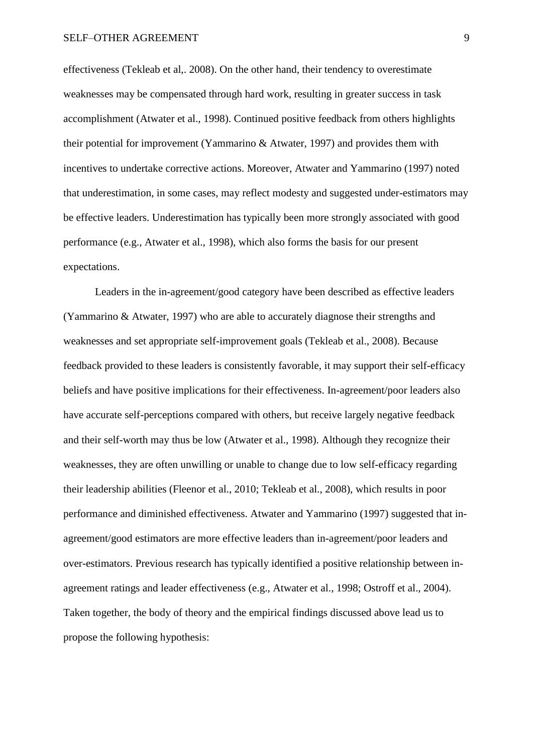effectiveness (Tekleab et al,. 2008). On the other hand, their tendency to overestimate weaknesses may be compensated through hard work, resulting in greater success in task accomplishment (Atwater et al., 1998). Continued positive feedback from others highlights their potential for improvement (Yammarino & Atwater, 1997) and provides them with incentives to undertake corrective actions. Moreover, Atwater and Yammarino (1997) noted that underestimation, in some cases, may reflect modesty and suggested under-estimators may be effective leaders. Underestimation has typically been more strongly associated with good performance (e.g., Atwater et al., 1998), which also forms the basis for our present expectations.

Leaders in the in-agreement/good category have been described as effective leaders (Yammarino & Atwater, 1997) who are able to accurately diagnose their strengths and weaknesses and set appropriate self-improvement goals (Tekleab et al., 2008). Because feedback provided to these leaders is consistently favorable, it may support their self-efficacy beliefs and have positive implications for their effectiveness. In-agreement/poor leaders also have accurate self-perceptions compared with others, but receive largely negative feedback and their self-worth may thus be low (Atwater et al., 1998). Although they recognize their weaknesses, they are often unwilling or unable to change due to low self-efficacy regarding their leadership abilities (Fleenor et al., 2010; Tekleab et al., 2008), which results in poor performance and diminished effectiveness. Atwater and Yammarino (1997) suggested that inagreement/good estimators are more effective leaders than in-agreement/poor leaders and over-estimators. Previous research has typically identified a positive relationship between inagreement ratings and leader effectiveness (e.g., Atwater et al., 1998; Ostroff et al., 2004). Taken together, the body of theory and the empirical findings discussed above lead us to propose the following hypothesis: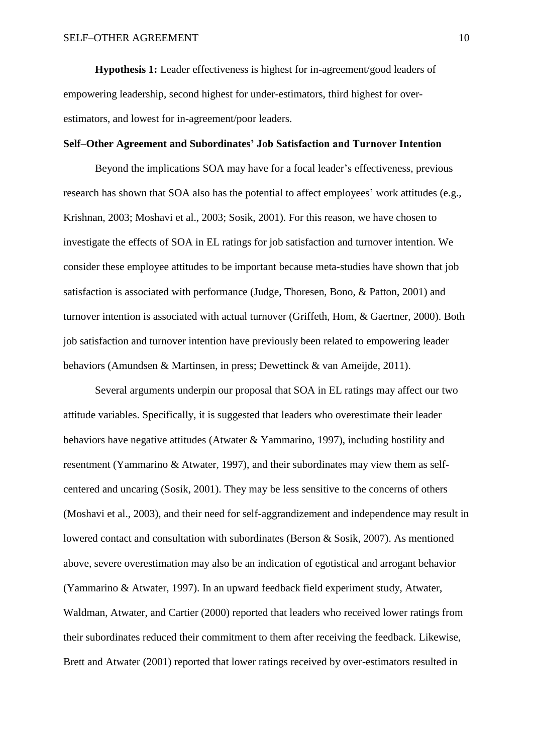**Hypothesis 1:** Leader effectiveness is highest for in-agreement/good leaders of empowering leadership, second highest for under-estimators, third highest for overestimators, and lowest for in-agreement/poor leaders.

#### **Self–Other Agreement and Subordinates' Job Satisfaction and Turnover Intention**

Beyond the implications SOA may have for a focal leader's effectiveness, previous research has shown that SOA also has the potential to affect employees' work attitudes (e.g., Krishnan, 2003; Moshavi et al., 2003; Sosik, 2001). For this reason, we have chosen to investigate the effects of SOA in EL ratings for job satisfaction and turnover intention. We consider these employee attitudes to be important because meta-studies have shown that job satisfaction is associated with performance (Judge, Thoresen, Bono, & Patton, 2001) and turnover intention is associated with actual turnover (Griffeth, Hom, & Gaertner, 2000). Both job satisfaction and turnover intention have previously been related to empowering leader behaviors (Amundsen & Martinsen, in press; Dewettinck & van Ameijde, 2011).

Several arguments underpin our proposal that SOA in EL ratings may affect our two attitude variables. Specifically, it is suggested that leaders who overestimate their leader behaviors have negative attitudes (Atwater & Yammarino, 1997), including hostility and resentment (Yammarino & Atwater, 1997), and their subordinates may view them as selfcentered and uncaring (Sosik, 2001). They may be less sensitive to the concerns of others (Moshavi et al., 2003), and their need for self-aggrandizement and independence may result in lowered contact and consultation with subordinates (Berson & Sosik, 2007). As mentioned above, severe overestimation may also be an indication of egotistical and arrogant behavior (Yammarino & Atwater, 1997). In an upward feedback field experiment study, Atwater, Waldman, Atwater, and Cartier (2000) reported that leaders who received lower ratings from their subordinates reduced their commitment to them after receiving the feedback. Likewise, Brett and Atwater (2001) reported that lower ratings received by over-estimators resulted in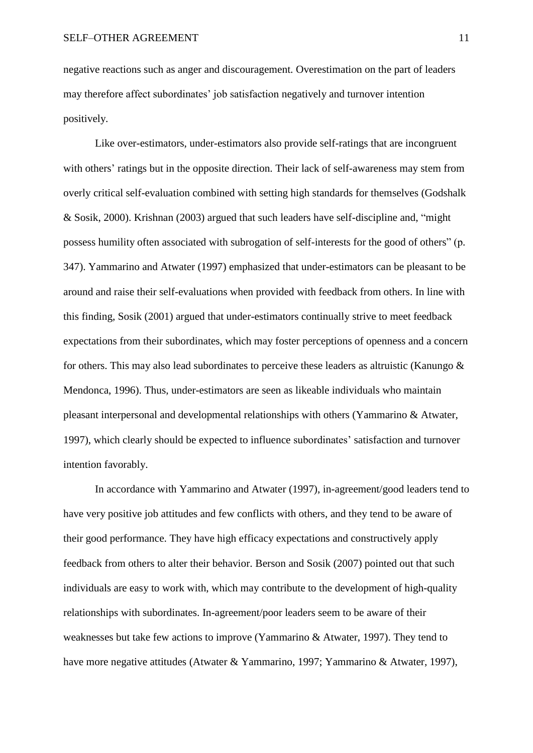negative reactions such as anger and discouragement. Overestimation on the part of leaders may therefore affect subordinates' job satisfaction negatively and turnover intention positively.

Like over-estimators, under-estimators also provide self-ratings that are incongruent with others' ratings but in the opposite direction. Their lack of self-awareness may stem from overly critical self-evaluation combined with setting high standards for themselves (Godshalk & Sosik, 2000). Krishnan (2003) argued that such leaders have self-discipline and, "might possess humility often associated with subrogation of self-interests for the good of others" (p. 347). Yammarino and Atwater (1997) emphasized that under-estimators can be pleasant to be around and raise their self-evaluations when provided with feedback from others. In line with this finding, Sosik (2001) argued that under-estimators continually strive to meet feedback expectations from their subordinates, which may foster perceptions of openness and a concern for others. This may also lead subordinates to perceive these leaders as altruistic (Kanungo  $\&$ Mendonca, 1996). Thus, under-estimators are seen as likeable individuals who maintain pleasant interpersonal and developmental relationships with others (Yammarino & Atwater, 1997), which clearly should be expected to influence subordinates' satisfaction and turnover intention favorably.

In accordance with Yammarino and Atwater (1997), in-agreement/good leaders tend to have very positive job attitudes and few conflicts with others, and they tend to be aware of their good performance. They have high efficacy expectations and constructively apply feedback from others to alter their behavior. Berson and Sosik (2007) pointed out that such individuals are easy to work with, which may contribute to the development of high-quality relationships with subordinates. In-agreement/poor leaders seem to be aware of their weaknesses but take few actions to improve (Yammarino & Atwater, 1997). They tend to have more negative attitudes (Atwater & Yammarino, 1997; Yammarino & Atwater, 1997),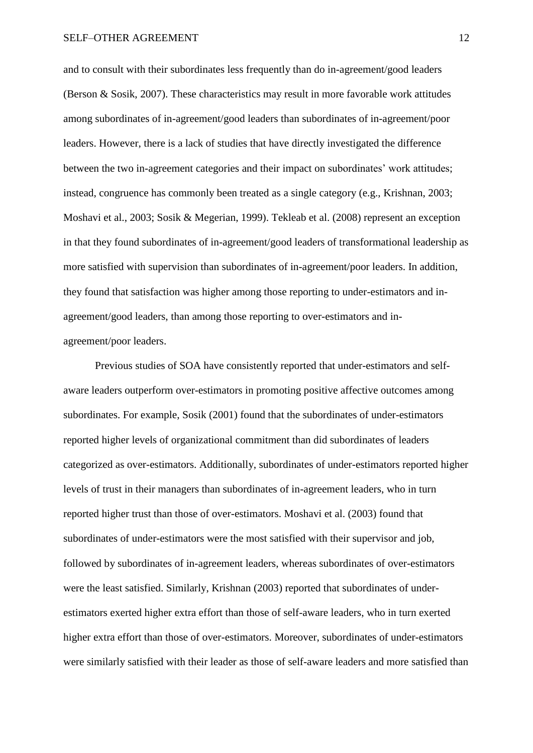and to consult with their subordinates less frequently than do in-agreement/good leaders (Berson & Sosik, 2007). These characteristics may result in more favorable work attitudes among subordinates of in-agreement/good leaders than subordinates of in-agreement/poor leaders. However, there is a lack of studies that have directly investigated the difference between the two in-agreement categories and their impact on subordinates' work attitudes; instead, congruence has commonly been treated as a single category (e.g., Krishnan, 2003; Moshavi et al., 2003; Sosik & Megerian, 1999). Tekleab et al. (2008) represent an exception in that they found subordinates of in-agreement/good leaders of transformational leadership as more satisfied with supervision than subordinates of in-agreement/poor leaders. In addition, they found that satisfaction was higher among those reporting to under-estimators and inagreement/good leaders, than among those reporting to over-estimators and inagreement/poor leaders.

Previous studies of SOA have consistently reported that under-estimators and selfaware leaders outperform over-estimators in promoting positive affective outcomes among subordinates. For example, Sosik (2001) found that the subordinates of under-estimators reported higher levels of organizational commitment than did subordinates of leaders categorized as over-estimators. Additionally, subordinates of under-estimators reported higher levels of trust in their managers than subordinates of in-agreement leaders, who in turn reported higher trust than those of over-estimators. Moshavi et al. (2003) found that subordinates of under-estimators were the most satisfied with their supervisor and job, followed by subordinates of in-agreement leaders, whereas subordinates of over-estimators were the least satisfied. Similarly, Krishnan (2003) reported that subordinates of underestimators exerted higher extra effort than those of self-aware leaders, who in turn exerted higher extra effort than those of over-estimators. Moreover, subordinates of under-estimators were similarly satisfied with their leader as those of self-aware leaders and more satisfied than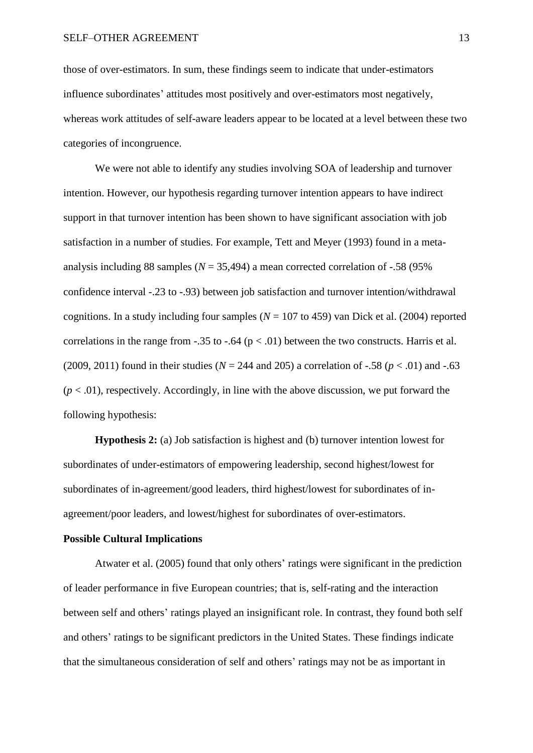those of over-estimators. In sum, these findings seem to indicate that under-estimators influence subordinates' attitudes most positively and over-estimators most negatively, whereas work attitudes of self-aware leaders appear to be located at a level between these two categories of incongruence.

We were not able to identify any studies involving SOA of leadership and turnover intention. However, our hypothesis regarding turnover intention appears to have indirect support in that turnover intention has been shown to have significant association with job satisfaction in a number of studies. For example, Tett and Meyer (1993) found in a metaanalysis including 88 samples  $(N = 35,494)$  a mean corrected correlation of  $-.58$  (95%) confidence interval -.23 to -.93) between job satisfaction and turnover intention/withdrawal cognitions. In a study including four samples (*N* = 107 to 459) van Dick et al. (2004) reported correlations in the range from -.35 to -.64 ( $p < .01$ ) between the two constructs. Harris et al. (2009, 2011) found in their studies (*N* = 244 and 205) a correlation of -.58 (*p* < .01) and -.63  $(p < .01)$ , respectively. Accordingly, in line with the above discussion, we put forward the following hypothesis:

**Hypothesis 2:** (a) Job satisfaction is highest and (b) turnover intention lowest for subordinates of under-estimators of empowering leadership, second highest/lowest for subordinates of in-agreement/good leaders, third highest/lowest for subordinates of inagreement/poor leaders, and lowest/highest for subordinates of over-estimators.

#### **Possible Cultural Implications**

Atwater et al. (2005) found that only others' ratings were significant in the prediction of leader performance in five European countries; that is, self-rating and the interaction between self and others' ratings played an insignificant role. In contrast, they found both self and others' ratings to be significant predictors in the United States. These findings indicate that the simultaneous consideration of self and others' ratings may not be as important in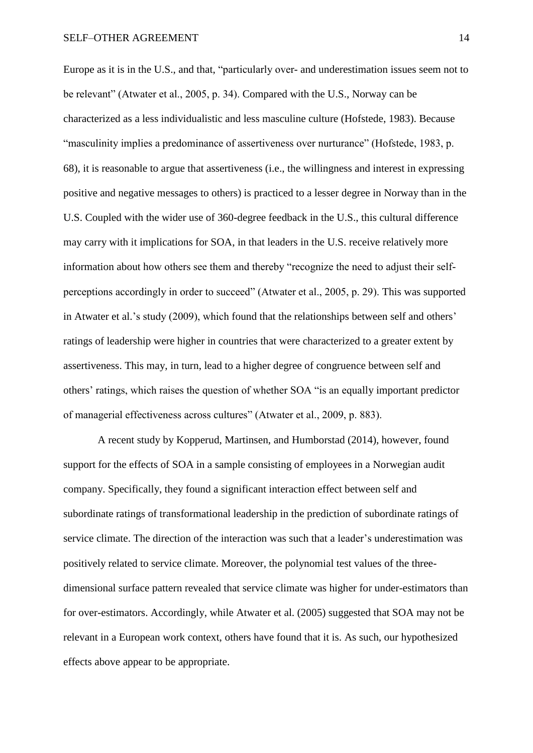Europe as it is in the U.S., and that, "particularly over- and underestimation issues seem not to be relevant" (Atwater et al., 2005, p. 34). Compared with the U.S., Norway can be characterized as a less individualistic and less masculine culture (Hofstede, 1983). Because "masculinity implies a predominance of assertiveness over nurturance" (Hofstede, 1983, p. 68), it is reasonable to argue that assertiveness (i.e., the willingness and interest in expressing positive and negative messages to others) is practiced to a lesser degree in Norway than in the U.S. Coupled with the wider use of 360-degree feedback in the U.S., this cultural difference may carry with it implications for SOA, in that leaders in the U.S. receive relatively more information about how others see them and thereby "recognize the need to adjust their selfperceptions accordingly in order to succeed" (Atwater et al., 2005, p. 29). This was supported in Atwater et al.'s study (2009), which found that the relationships between self and others' ratings of leadership were higher in countries that were characterized to a greater extent by assertiveness. This may, in turn, lead to a higher degree of congruence between self and others' ratings, which raises the question of whether SOA "is an equally important predictor of managerial effectiveness across cultures" (Atwater et al., 2009, p. 883).

A recent study by Kopperud, Martinsen, and Humborstad (2014), however, found support for the effects of SOA in a sample consisting of employees in a Norwegian audit company. Specifically, they found a significant interaction effect between self and subordinate ratings of transformational leadership in the prediction of subordinate ratings of service climate. The direction of the interaction was such that a leader's underestimation was positively related to service climate. Moreover, the polynomial test values of the threedimensional surface pattern revealed that service climate was higher for under-estimators than for over-estimators. Accordingly, while Atwater et al. (2005) suggested that SOA may not be relevant in a European work context, others have found that it is. As such, our hypothesized effects above appear to be appropriate.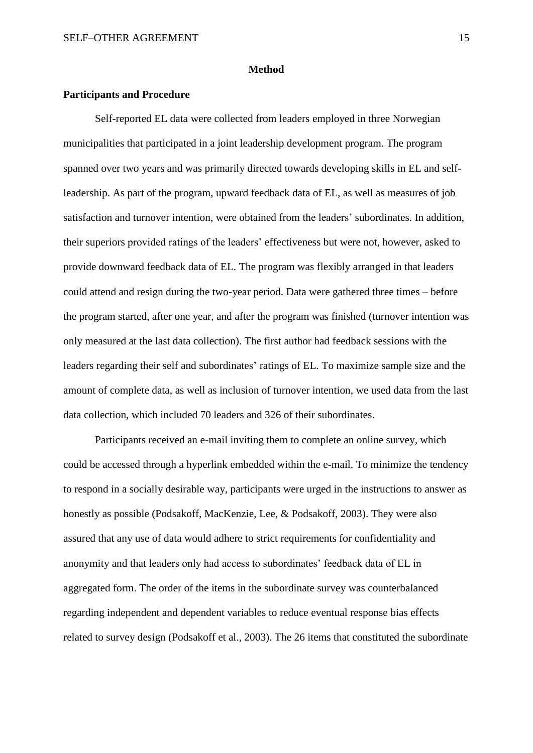#### **Method**

#### **Participants and Procedure**

Self-reported EL data were collected from leaders employed in three Norwegian municipalities that participated in a joint leadership development program. The program spanned over two years and was primarily directed towards developing skills in EL and selfleadership. As part of the program, upward feedback data of EL, as well as measures of job satisfaction and turnover intention, were obtained from the leaders' subordinates. In addition, their superiors provided ratings of the leaders' effectiveness but were not, however, asked to provide downward feedback data of EL. The program was flexibly arranged in that leaders could attend and resign during the two-year period. Data were gathered three times – before the program started, after one year, and after the program was finished (turnover intention was only measured at the last data collection). The first author had feedback sessions with the leaders regarding their self and subordinates' ratings of EL. To maximize sample size and the amount of complete data, as well as inclusion of turnover intention, we used data from the last data collection, which included 70 leaders and 326 of their subordinates.

Participants received an e-mail inviting them to complete an online survey, which could be accessed through a hyperlink embedded within the e-mail. To minimize the tendency to respond in a socially desirable way, participants were urged in the instructions to answer as honestly as possible (Podsakoff, MacKenzie, Lee, & Podsakoff, 2003). They were also assured that any use of data would adhere to strict requirements for confidentiality and anonymity and that leaders only had access to subordinates' feedback data of EL in aggregated form. The order of the items in the subordinate survey was counterbalanced regarding independent and dependent variables to reduce eventual response bias effects related to survey design (Podsakoff et al., 2003). The 26 items that constituted the subordinate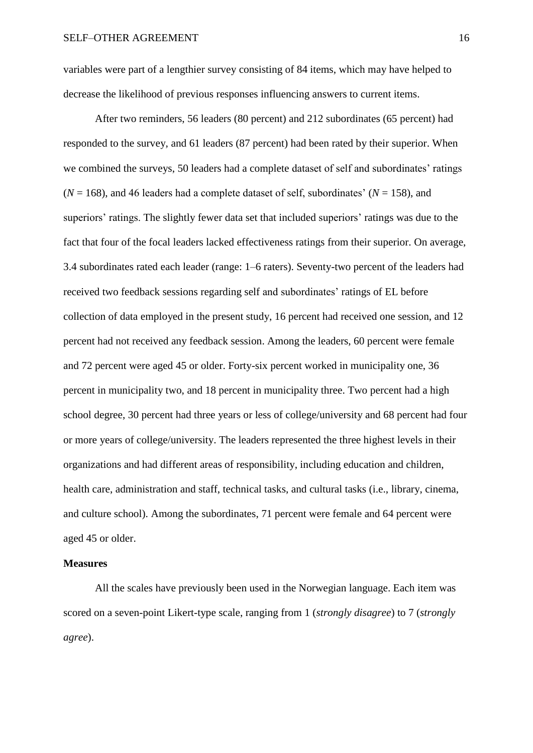variables were part of a lengthier survey consisting of 84 items, which may have helped to decrease the likelihood of previous responses influencing answers to current items.

After two reminders, 56 leaders (80 percent) and 212 subordinates (65 percent) had responded to the survey, and 61 leaders (87 percent) had been rated by their superior. When we combined the surveys, 50 leaders had a complete dataset of self and subordinates' ratings  $(N = 168)$ , and 46 leaders had a complete dataset of self, subordinates'  $(N = 158)$ , and superiors' ratings. The slightly fewer data set that included superiors' ratings was due to the fact that four of the focal leaders lacked effectiveness ratings from their superior. On average, 3.4 subordinates rated each leader (range: 1–6 raters). Seventy-two percent of the leaders had received two feedback sessions regarding self and subordinates' ratings of EL before collection of data employed in the present study, 16 percent had received one session, and 12 percent had not received any feedback session. Among the leaders, 60 percent were female and 72 percent were aged 45 or older. Forty-six percent worked in municipality one, 36 percent in municipality two, and 18 percent in municipality three. Two percent had a high school degree, 30 percent had three years or less of college/university and 68 percent had four or more years of college/university. The leaders represented the three highest levels in their organizations and had different areas of responsibility, including education and children, health care, administration and staff, technical tasks, and cultural tasks (i.e., library, cinema, and culture school). Among the subordinates, 71 percent were female and 64 percent were aged 45 or older.

#### **Measures**

All the scales have previously been used in the Norwegian language. Each item was scored on a seven-point Likert-type scale, ranging from 1 (*strongly disagree*) to 7 (*strongly agree*).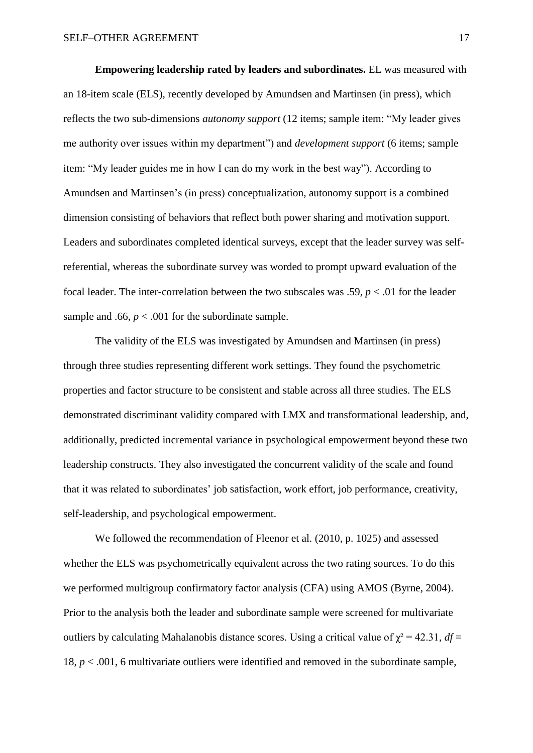**Empowering leadership rated by leaders and subordinates.** EL was measured with an 18-item scale (ELS), recently developed by Amundsen and Martinsen (in press), which reflects the two sub-dimensions *autonomy support* (12 items; sample item: "My leader gives me authority over issues within my department") and *development support* (6 items; sample item: "My leader guides me in how I can do my work in the best way"). According to Amundsen and Martinsen's (in press) conceptualization, autonomy support is a combined dimension consisting of behaviors that reflect both power sharing and motivation support. Leaders and subordinates completed identical surveys, except that the leader survey was selfreferential, whereas the subordinate survey was worded to prompt upward evaluation of the focal leader. The inter-correlation between the two subscales was .59,  $p < .01$  for the leader sample and .66,  $p < .001$  for the subordinate sample.

The validity of the ELS was investigated by Amundsen and Martinsen (in press) through three studies representing different work settings. They found the psychometric properties and factor structure to be consistent and stable across all three studies. The ELS demonstrated discriminant validity compared with LMX and transformational leadership, and, additionally, predicted incremental variance in psychological empowerment beyond these two leadership constructs. They also investigated the concurrent validity of the scale and found that it was related to subordinates' job satisfaction, work effort, job performance, creativity, self-leadership, and psychological empowerment.

We followed the recommendation of Fleenor et al. (2010, p. 1025) and assessed whether the ELS was psychometrically equivalent across the two rating sources. To do this we performed multigroup confirmatory factor analysis (CFA) using AMOS (Byrne, 2004). Prior to the analysis both the leader and subordinate sample were screened for multivariate outliers by calculating Mahalanobis distance scores. Using a critical value of  $\chi^2 = 42.31$ , *df* = 18,  $p < .001$ , 6 multivariate outliers were identified and removed in the subordinate sample,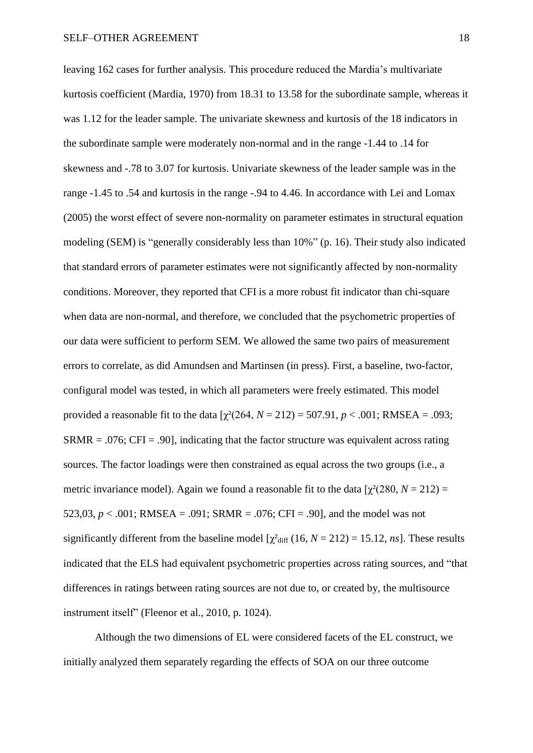leaving 162 cases for further analysis. This procedure reduced the Mardia's multivariate kurtosis coefficient (Mardia, 1970) from 18.31 to 13.58 for the subordinate sample, whereas it was 1.12 for the leader sample. The univariate skewness and kurtosis of the 18 indicators in the subordinate sample were moderately non-normal and in the range -1.44 to .14 for skewness and -.78 to 3.07 for kurtosis. Univariate skewness of the leader sample was in the range -1.45 to .54 and kurtosis in the range -.94 to 4.46. In accordance with Lei and Lomax (2005) the worst effect of severe non-normality on parameter estimates in structural equation modeling (SEM) is "generally considerably less than 10%" (p. 16). Their study also indicated that standard errors of parameter estimates were not significantly affected by non-normality conditions. Moreover, they reported that CFI is a more robust fit indicator than chi-square when data are non-normal, and therefore, we concluded that the psychometric properties of our data were sufficient to perform SEM. We allowed the same two pairs of measurement errors to correlate, as did Amundsen and Martinsen (in press). First, a baseline, two-factor, configural model was tested, in which all parameters were freely estimated. This model provided a reasonable fit to the data  $[\chi^2(264, N = 212) = 507.91, p < .001$ ; RMSEA = .093;  $SRMR = .076$ ; CFI = .90], indicating that the factor structure was equivalent across rating sources. The factor loadings were then constrained as equal across the two groups (i.e., a metric invariance model). Again we found a reasonable fit to the data  $\gamma^2(280, N = 212)$ 523,03,  $p < .001$ ; RMSEA = .091; SRMR = .076; CFI = .90], and the model was not significantly different from the baseline model  $[\chi^2_{\text{diff}} (16, N = 212) = 15.12, ns]$ . These results indicated that the ELS had equivalent psychometric properties across rating sources, and "that differences in ratings between rating sources are not due to, or created by, the multisource instrument itself" (Fleenor et al., 2010, p. 1024).

Although the two dimensions of EL were considered facets of the EL construct, we initially analyzed them separately regarding the effects of SOA on our three outcome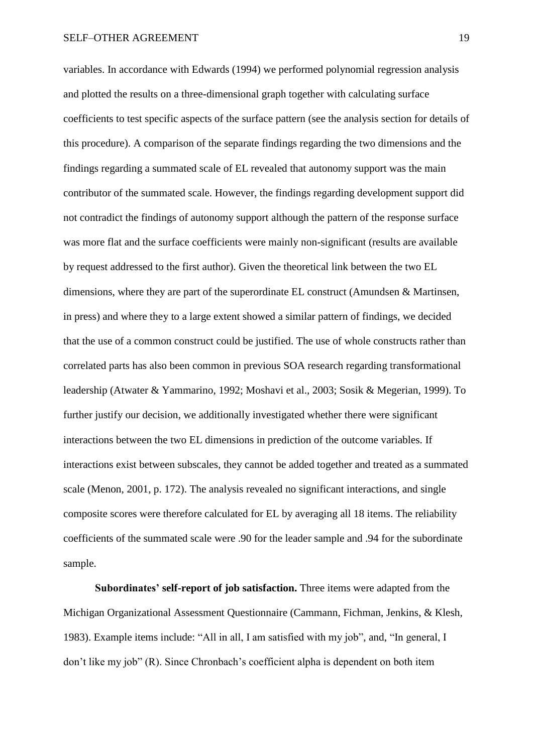variables. In accordance with Edwards (1994) we performed polynomial regression analysis and plotted the results on a three-dimensional graph together with calculating surface coefficients to test specific aspects of the surface pattern (see the analysis section for details of this procedure). A comparison of the separate findings regarding the two dimensions and the findings regarding a summated scale of EL revealed that autonomy support was the main contributor of the summated scale. However, the findings regarding development support did not contradict the findings of autonomy support although the pattern of the response surface was more flat and the surface coefficients were mainly non-significant (results are available by request addressed to the first author). Given the theoretical link between the two EL dimensions, where they are part of the superordinate EL construct (Amundsen & Martinsen, in press) and where they to a large extent showed a similar pattern of findings, we decided that the use of a common construct could be justified. The use of whole constructs rather than correlated parts has also been common in previous SOA research regarding transformational leadership (Atwater & Yammarino, 1992; Moshavi et al., 2003; Sosik & Megerian, 1999). To further justify our decision, we additionally investigated whether there were significant interactions between the two EL dimensions in prediction of the outcome variables. If interactions exist between subscales, they cannot be added together and treated as a summated scale (Menon, 2001, p. 172). The analysis revealed no significant interactions, and single composite scores were therefore calculated for EL by averaging all 18 items. The reliability coefficients of the summated scale were .90 for the leader sample and .94 for the subordinate sample.

**Subordinates' self-report of job satisfaction.** Three items were adapted from the Michigan Organizational Assessment Questionnaire (Cammann, Fichman, Jenkins, & Klesh, 1983). Example items include: "All in all, I am satisfied with my job", and, "In general, I don't like my job" (R). Since Chronbach's coefficient alpha is dependent on both item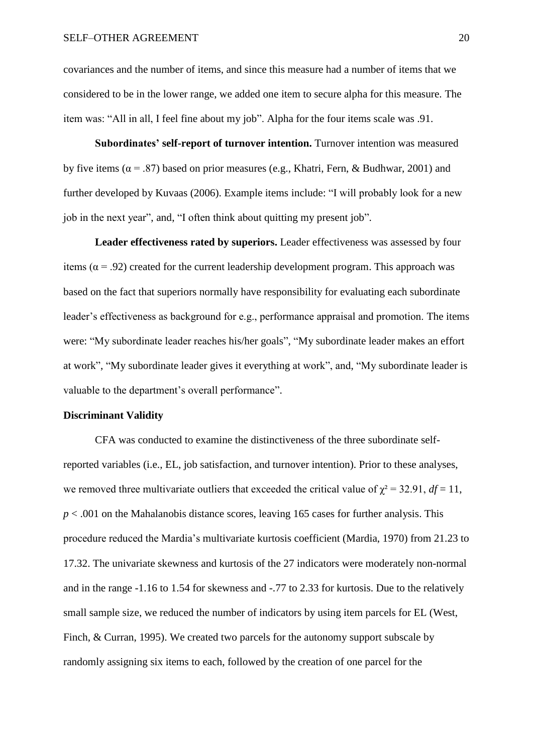covariances and the number of items, and since this measure had a number of items that we considered to be in the lower range, we added one item to secure alpha for this measure. The item was: "All in all, I feel fine about my job". Alpha for the four items scale was .91.

**Subordinates' self-report of turnover intention.** Turnover intention was measured by five items ( $\alpha$  = .87) based on prior measures (e.g., Khatri, Fern, & Budhwar, 2001) and further developed by Kuvaas (2006). Example items include: "I will probably look for a new job in the next year", and, "I often think about quitting my present job".

**Leader effectiveness rated by superiors.** Leader effectiveness was assessed by four items ( $\alpha$  = .92) created for the current leadership development program. This approach was based on the fact that superiors normally have responsibility for evaluating each subordinate leader's effectiveness as background for e.g., performance appraisal and promotion. The items were: "My subordinate leader reaches his/her goals", "My subordinate leader makes an effort at work", "My subordinate leader gives it everything at work", and, "My subordinate leader is valuable to the department's overall performance".

#### **Discriminant Validity**

CFA was conducted to examine the distinctiveness of the three subordinate selfreported variables (i.e., EL, job satisfaction, and turnover intention). Prior to these analyses, we removed three multivariate outliers that exceeded the critical value of  $\gamma^2 = 32.91$ , *df* = 11,  $p < .001$  on the Mahalanobis distance scores, leaving 165 cases for further analysis. This procedure reduced the Mardia's multivariate kurtosis coefficient (Mardia, 1970) from 21.23 to 17.32. The univariate skewness and kurtosis of the 27 indicators were moderately non-normal and in the range -1.16 to 1.54 for skewness and -.77 to 2.33 for kurtosis. Due to the relatively small sample size, we reduced the number of indicators by using item parcels for EL (West, Finch, & Curran, 1995). We created two parcels for the autonomy support subscale by randomly assigning six items to each, followed by the creation of one parcel for the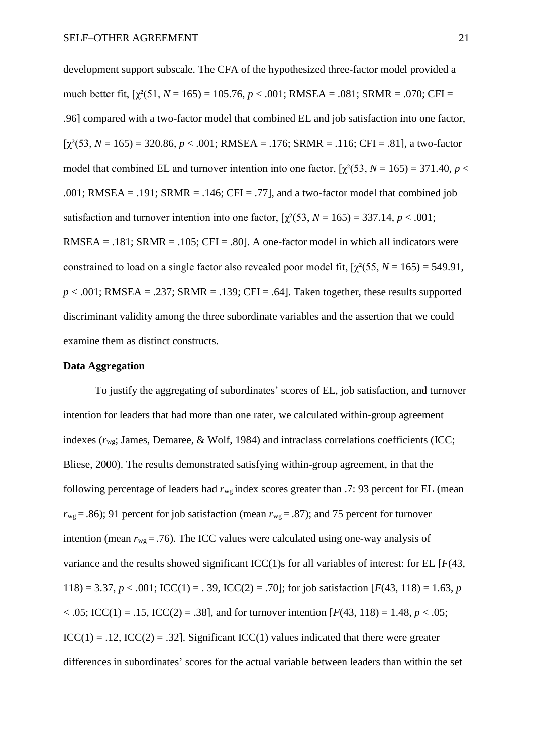development support subscale. The CFA of the hypothesized three-factor model provided a much better fit, [γ<sup>2</sup>(51, N = 165) = 105.76, p < .001; RMSEA = .081; SRMR = .070; CFI = .96] compared with a two-factor model that combined EL and job satisfaction into one factor,  $[\gamma^2(53, N = 165) = 320.86, p < .001$ ; RMSEA = .176; SRMR = .116; CFI = .81], a two-factor model that combined EL and turnover intention into one factor,  $[\gamma^2(53, N = 165) = 371.40, p <$ .001; RMSEA = .191; SRMR = .146; CFI = .77], and a two-factor model that combined job satisfaction and turnover intention into one factor,  $[\gamma^2(53, N = 165) = 337.14, p < .001$ ; RMSEA =  $.181$ ; SRMR =  $.105$ ; CFI =  $.80$ ]. A one-factor model in which all indicators were constrained to load on a single factor also revealed poor model fit,  $[\gamma^2(55, N = 165) = 549.91]$ ,  $p < .001$ ; RMSEA = .237; SRMR = .139; CFI = .64]. Taken together, these results supported discriminant validity among the three subordinate variables and the assertion that we could examine them as distinct constructs.

#### **Data Aggregation**

To justify the aggregating of subordinates' scores of EL, job satisfaction, and turnover intention for leaders that had more than one rater, we calculated within-group agreement indexes ( $r_{wg}$ ; James, Demaree, & Wolf, 1984) and intraclass correlations coefficients (ICC; Bliese, 2000). The results demonstrated satisfying within-group agreement, in that the following percentage of leaders had *r*wg index scores greater than .7: 93 percent for EL (mean  $r_{wg} = .86$ ; 91 percent for job satisfaction (mean  $r_{wg} = .87$ ); and 75 percent for turnover intention (mean  $r_{wg} = .76$ ). The ICC values were calculated using one-way analysis of variance and the results showed significant ICC(1)s for all variables of interest: for EL [*F*(43, 118) = 3.37,  $p < .001$ ; ICC(1) = . 39, ICC(2) = .70]; for job satisfaction [ $F(43, 118) = 1.63$ ,  $p$  $\langle 0.05; \text{ICC}(1) = 0.15, \text{ICC}(2) = 0.38$ , and for turnover intention  $F(43, 118) = 1.48, p < 0.05$ ;  $ICC(1) = .12, ICC(2) = .32$ . Significant  $ICC(1)$  values indicated that there were greater differences in subordinates' scores for the actual variable between leaders than within the set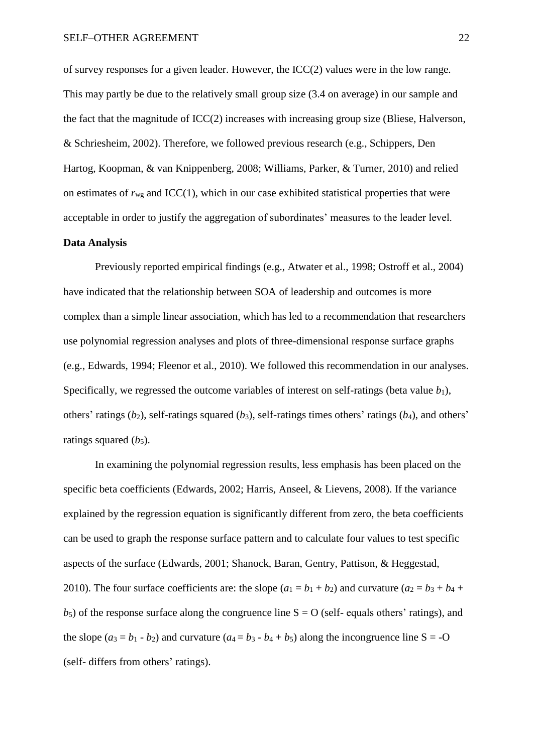of survey responses for a given leader. However, the ICC(2) values were in the low range. This may partly be due to the relatively small group size (3.4 on average) in our sample and the fact that the magnitude of ICC(2) increases with increasing group size (Bliese, Halverson, & Schriesheim, 2002). Therefore, we followed previous research (e.g., Schippers, Den Hartog, Koopman, & van Knippenberg, 2008; Williams, Parker, & Turner, 2010) and relied on estimates of  $r_{\text{wg}}$  and ICC(1), which in our case exhibited statistical properties that were acceptable in order to justify the aggregation of subordinates' measures to the leader level.

#### **Data Analysis**

Previously reported empirical findings (e.g., Atwater et al., 1998; Ostroff et al., 2004) have indicated that the relationship between SOA of leadership and outcomes is more complex than a simple linear association, which has led to a recommendation that researchers use polynomial regression analyses and plots of three-dimensional response surface graphs (e.g., Edwards, 1994; Fleenor et al., 2010). We followed this recommendation in our analyses. Specifically, we regressed the outcome variables of interest on self-ratings (beta value  $b_1$ ), others' ratings (*b*2), self-ratings squared (*b*3), self-ratings times others' ratings (*b*4), and others' ratings squared  $(b_5)$ .

In examining the polynomial regression results, less emphasis has been placed on the specific beta coefficients (Edwards, 2002; Harris, Anseel, & Lievens, 2008). If the variance explained by the regression equation is significantly different from zero, the beta coefficients can be used to graph the response surface pattern and to calculate four values to test specific aspects of the surface (Edwards, 2001; Shanock, Baran, Gentry, Pattison, & Heggestad, 2010). The four surface coefficients are: the slope  $(a_1 = b_1 + b_2)$  and curvature  $(a_2 = b_3 + b_4 + b_5)$  $b_5$ ) of the response surface along the congruence line  $S = O$  (self-equals others' ratings), and the slope  $(a_3 = b_1 - b_2)$  and curvature  $(a_4 = b_3 - b_4 + b_5)$  along the incongruence line S = -O (self- differs from others' ratings).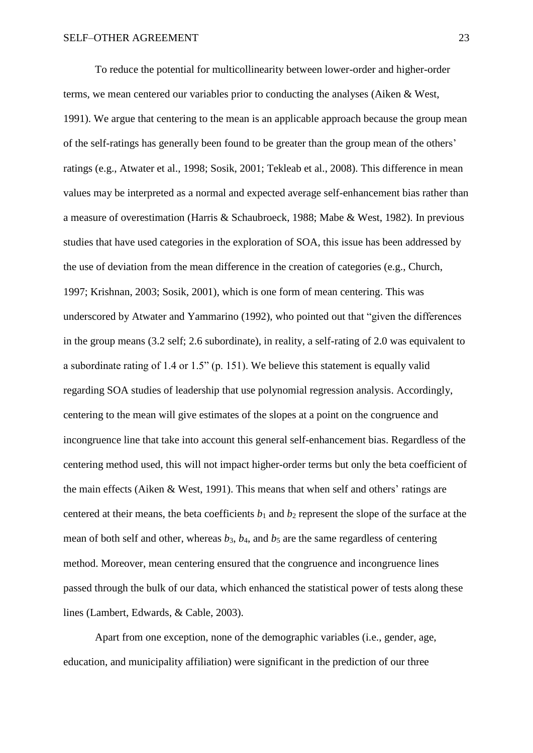To reduce the potential for multicollinearity between lower-order and higher-order terms, we mean centered our variables prior to conducting the analyses (Aiken & West, 1991). We argue that centering to the mean is an applicable approach because the group mean of the self-ratings has generally been found to be greater than the group mean of the others' ratings (e.g., Atwater et al., 1998; Sosik, 2001; Tekleab et al., 2008). This difference in mean values may be interpreted as a normal and expected average self-enhancement bias rather than a measure of overestimation (Harris & Schaubroeck, 1988; Mabe & West, 1982). In previous studies that have used categories in the exploration of SOA, this issue has been addressed by the use of deviation from the mean difference in the creation of categories (e.g., Church, 1997; Krishnan, 2003; Sosik, 2001), which is one form of mean centering. This was underscored by Atwater and Yammarino (1992), who pointed out that "given the differences in the group means (3.2 self; 2.6 subordinate), in reality, a self-rating of 2.0 was equivalent to a subordinate rating of 1.4 or 1.5" (p. 151). We believe this statement is equally valid regarding SOA studies of leadership that use polynomial regression analysis. Accordingly, centering to the mean will give estimates of the slopes at a point on the congruence and incongruence line that take into account this general self-enhancement bias. Regardless of the centering method used, this will not impact higher-order terms but only the beta coefficient of the main effects (Aiken & West, 1991). This means that when self and others' ratings are centered at their means, the beta coefficients  $b_1$  and  $b_2$  represent the slope of the surface at the mean of both self and other, whereas  $b_3$ ,  $b_4$ , and  $b_5$  are the same regardless of centering method. Moreover, mean centering ensured that the congruence and incongruence lines passed through the bulk of our data, which enhanced the statistical power of tests along these lines (Lambert, Edwards, & Cable, 2003).

Apart from one exception, none of the demographic variables (i.e., gender, age, education, and municipality affiliation) were significant in the prediction of our three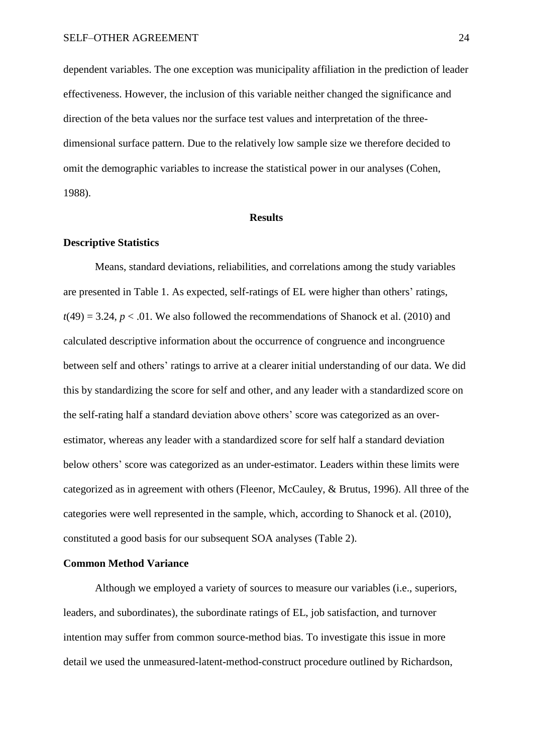dependent variables. The one exception was municipality affiliation in the prediction of leader effectiveness. However, the inclusion of this variable neither changed the significance and direction of the beta values nor the surface test values and interpretation of the threedimensional surface pattern. Due to the relatively low sample size we therefore decided to omit the demographic variables to increase the statistical power in our analyses (Cohen, 1988).

#### **Results**

#### **Descriptive Statistics**

Means, standard deviations, reliabilities, and correlations among the study variables are presented in Table 1. As expected, self-ratings of EL were higher than others' ratings,  $t(49) = 3.24$ ,  $p < .01$ . We also followed the recommendations of Shanock et al. (2010) and calculated descriptive information about the occurrence of congruence and incongruence between self and others' ratings to arrive at a clearer initial understanding of our data. We did this by standardizing the score for self and other, and any leader with a standardized score on the self-rating half a standard deviation above others' score was categorized as an overestimator, whereas any leader with a standardized score for self half a standard deviation below others' score was categorized as an under-estimator. Leaders within these limits were categorized as in agreement with others (Fleenor, McCauley, & Brutus, 1996). All three of the categories were well represented in the sample, which, according to Shanock et al. (2010), constituted a good basis for our subsequent SOA analyses (Table 2).

#### **Common Method Variance**

Although we employed a variety of sources to measure our variables (i.e., superiors, leaders, and subordinates), the subordinate ratings of EL, job satisfaction, and turnover intention may suffer from common source-method bias. To investigate this issue in more detail we used the unmeasured-latent-method-construct procedure outlined by Richardson,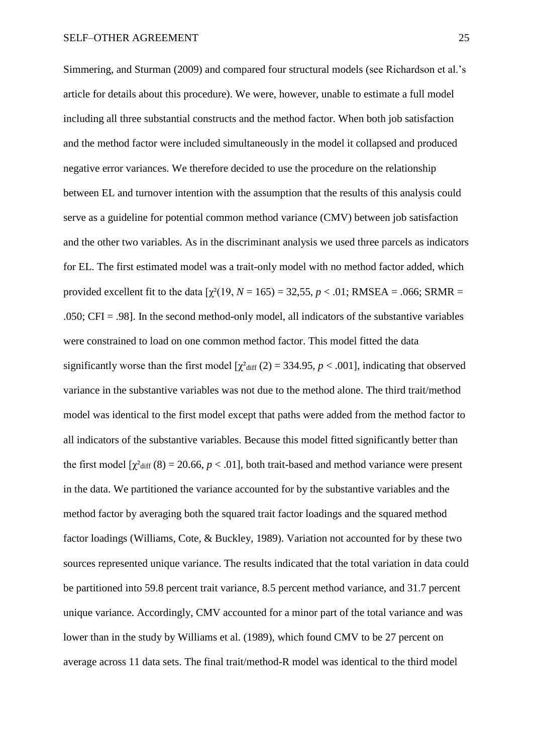article for details about this procedure). We were, however, unable to estimate a full model including all three substantial constructs and the method factor. When both job satisfaction and the method factor were included simultaneously in the model it collapsed and produced negative error variances. We therefore decided to use the procedure on the relationship between EL and turnover intention with the assumption that the results of this analysis could serve as a guideline for potential common method variance (CMV) between job satisfaction and the other two variables. As in the discriminant analysis we used three parcels as indicators for EL. The first estimated model was a trait-only model with no method factor added, which provided excellent fit to the data  $[\chi^2(19, N = 165) = 32,55, p < .01; RMSEA = .066; SRMR =$ .050; CFI = .98]. In the second method-only model, all indicators of the substantive variables were constrained to load on one common method factor. This model fitted the data significantly worse than the first model  $[\chi^2_{\text{diff}}(2) = 334.95, p < .001]$ , indicating that observed variance in the substantive variables was not due to the method alone. The third trait/method model was identical to the first model except that paths were added from the method factor to all indicators of the substantive variables. Because this model fitted significantly better than the first model  $[\gamma^2_{\text{diff}}(8) = 20.66, p < .01]$ , both trait-based and method variance were present in the data. We partitioned the variance accounted for by the substantive variables and the method factor by averaging both the squared trait factor loadings and the squared method factor loadings (Williams, Cote, & Buckley, 1989). Variation not accounted for by these two sources represented unique variance. The results indicated that the total variation in data could be partitioned into 59.8 percent trait variance, 8.5 percent method variance, and 31.7 percent unique variance. Accordingly, CMV accounted for a minor part of the total variance and was lower than in the study by Williams et al. (1989), which found CMV to be 27 percent on average across 11 data sets. The final trait/method-R model was identical to the third model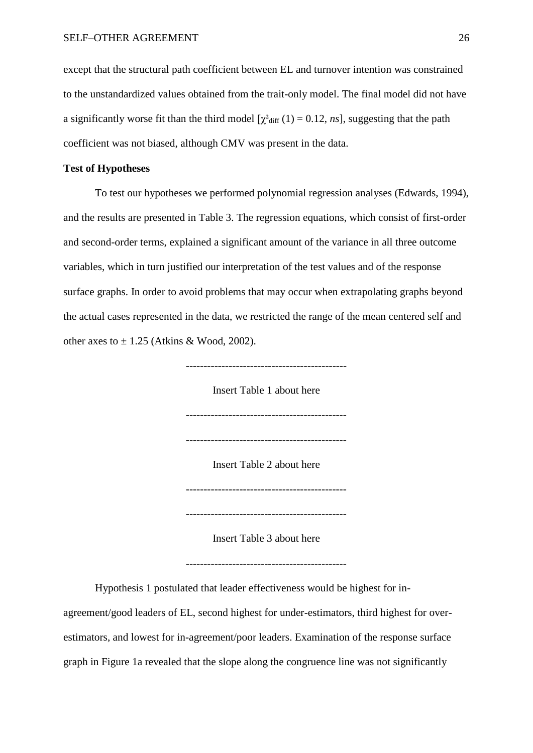except that the structural path coefficient between EL and turnover intention was constrained to the unstandardized values obtained from the trait-only model. The final model did not have a significantly worse fit than the third model  $[\chi^2_{\text{diff}}(1) = 0.12, ns]$ , suggesting that the path coefficient was not biased, although CMV was present in the data.

#### **Test of Hypotheses**

To test our hypotheses we performed polynomial regression analyses (Edwards, 1994), and the results are presented in Table 3. The regression equations, which consist of first-order and second-order terms, explained a significant amount of the variance in all three outcome variables, which in turn justified our interpretation of the test values and of the response surface graphs. In order to avoid problems that may occur when extrapolating graphs beyond the actual cases represented in the data, we restricted the range of the mean centered self and other axes to  $\pm$  1.25 (Atkins & Wood, 2002).

> Insert Table 1 about here --------------------------------------------- --------------------------------------------- Insert Table 2 about here --------------------------------------------- --------------------------------------------- Insert Table 3 about here

---------------------------------------------

Hypothesis 1 postulated that leader effectiveness would be highest for in-

---------------------------------------------

agreement/good leaders of EL, second highest for under-estimators, third highest for overestimators, and lowest for in-agreement/poor leaders. Examination of the response surface graph in Figure 1a revealed that the slope along the congruence line was not significantly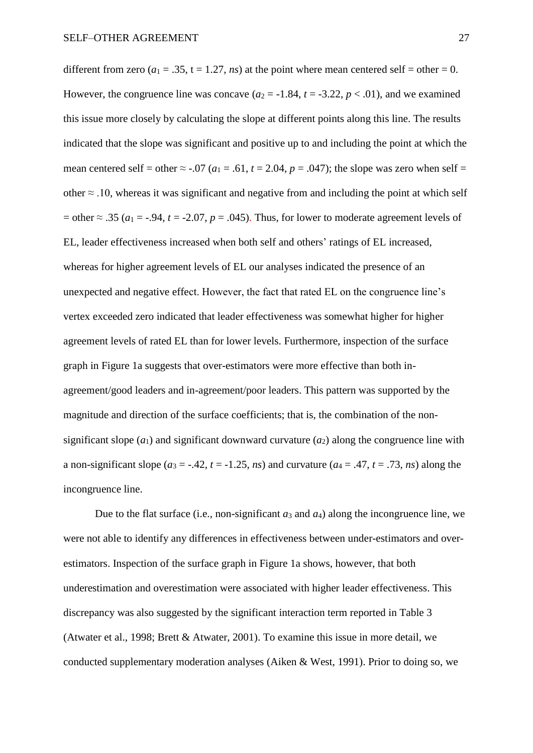different from zero ( $a_1 = .35$ ,  $t = 1.27$ , *ns*) at the point where mean centered self = other = 0. However, the congruence line was concave  $(a_2 = -1.84, t = -3.22, p < 0.01)$ , and we examined this issue more closely by calculating the slope at different points along this line. The results indicated that the slope was significant and positive up to and including the point at which the mean centered self = other  $\approx$  -.07 ( $a_1$  = .61,  $t$  = 2.04,  $p$  = .047); the slope was zero when self = other  $\approx$  10, whereas it was significant and negative from and including the point at which self  $=$  other  $\approx$  .35 ( $a_1 = -0.94$ ,  $t = -2.07$ ,  $p = 0.045$ ). Thus, for lower to moderate agreement levels of EL, leader effectiveness increased when both self and others' ratings of EL increased, whereas for higher agreement levels of EL our analyses indicated the presence of an unexpected and negative effect. However, the fact that rated EL on the congruence line's vertex exceeded zero indicated that leader effectiveness was somewhat higher for higher agreement levels of rated EL than for lower levels. Furthermore, inspection of the surface graph in Figure 1a suggests that over-estimators were more effective than both inagreement/good leaders and in-agreement/poor leaders. This pattern was supported by the magnitude and direction of the surface coefficients; that is, the combination of the nonsignificant slope  $(a_1)$  and significant downward curvature  $(a_2)$  along the congruence line with a non-significant slope ( $a_3 = -0.42$ ,  $t = -1.25$ ,  $n_s$ ) and curvature ( $a_4 = 0.47$ ,  $t = 0.73$ ,  $n_s$ ) along the incongruence line.

Due to the flat surface (i.e., non-significant  $a_3$  and  $a_4$ ) along the incongruence line, we were not able to identify any differences in effectiveness between under-estimators and overestimators. Inspection of the surface graph in Figure 1a shows, however, that both underestimation and overestimation were associated with higher leader effectiveness. This discrepancy was also suggested by the significant interaction term reported in Table 3 (Atwater et al., 1998; Brett & Atwater, 2001). To examine this issue in more detail, we conducted supplementary moderation analyses (Aiken & West, 1991). Prior to doing so, we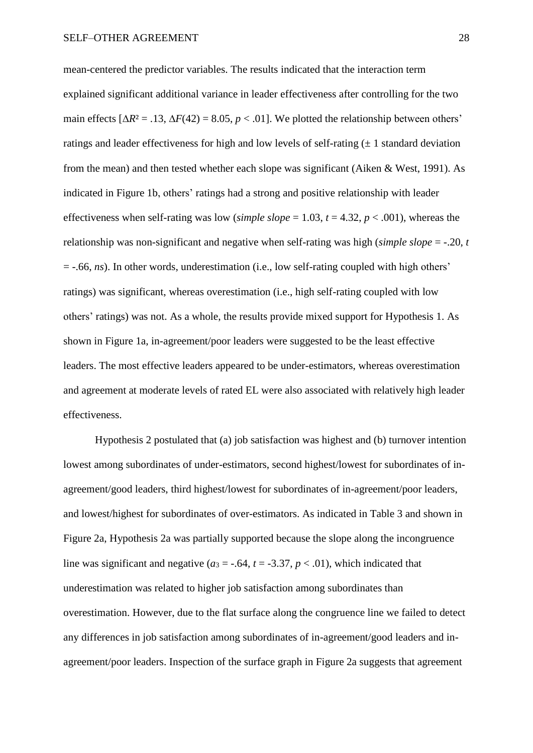mean-centered the predictor variables. The results indicated that the interaction term explained significant additional variance in leader effectiveness after controlling for the two main effects  $[\Delta R^2 = .13, \Delta F(42) = 8.05, p < .01]$ . We plotted the relationship between others' ratings and leader effectiveness for high and low levels of self-rating  $(\pm 1)$  standard deviation from the mean) and then tested whether each slope was significant (Aiken & West, 1991). As indicated in Figure 1b, others' ratings had a strong and positive relationship with leader effectiveness when self-rating was low (*simple slope*  $= 1.03$ ,  $t = 4.32$ ,  $p < .001$ ), whereas the relationship was non-significant and negative when self-rating was high (*simple slope* = -.20, *t*  = -.66, *ns*). In other words, underestimation (i.e., low self-rating coupled with high others' ratings) was significant, whereas overestimation (i.e., high self-rating coupled with low others' ratings) was not. As a whole, the results provide mixed support for Hypothesis 1. As shown in Figure 1a, in-agreement/poor leaders were suggested to be the least effective leaders. The most effective leaders appeared to be under-estimators, whereas overestimation and agreement at moderate levels of rated EL were also associated with relatively high leader effectiveness.

Hypothesis 2 postulated that (a) job satisfaction was highest and (b) turnover intention lowest among subordinates of under-estimators, second highest/lowest for subordinates of inagreement/good leaders, third highest/lowest for subordinates of in-agreement/poor leaders, and lowest/highest for subordinates of over-estimators. As indicated in Table 3 and shown in Figure 2a, Hypothesis 2a was partially supported because the slope along the incongruence line was significant and negative ( $a_3 = -.64$ ,  $t = -3.37$ ,  $p < .01$ ), which indicated that underestimation was related to higher job satisfaction among subordinates than overestimation. However, due to the flat surface along the congruence line we failed to detect any differences in job satisfaction among subordinates of in-agreement/good leaders and inagreement/poor leaders. Inspection of the surface graph in Figure 2a suggests that agreement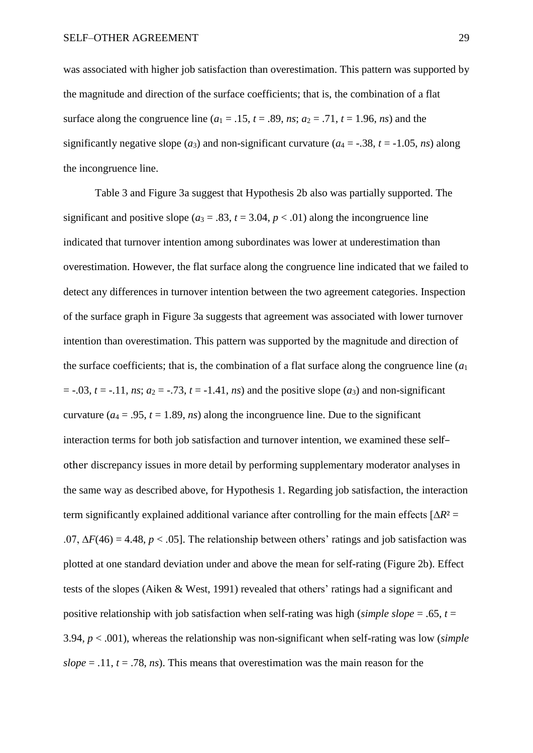was associated with higher job satisfaction than overestimation. This pattern was supported by the magnitude and direction of the surface coefficients; that is, the combination of a flat surface along the congruence line  $(a_1 = .15, t = .89, ns; a_2 = .71, t = 1.96, ns)$  and the significantly negative slope (*a*<sub>3</sub>) and non-significant curvature ( $a_4 = -.38$ ,  $t = -1.05$ , *ns*) along the incongruence line.

Table 3 and Figure 3a suggest that Hypothesis 2b also was partially supported. The significant and positive slope ( $a_3 = .83$ ,  $t = 3.04$ ,  $p < .01$ ) along the incongruence line indicated that turnover intention among subordinates was lower at underestimation than overestimation. However, the flat surface along the congruence line indicated that we failed to detect any differences in turnover intention between the two agreement categories. Inspection of the surface graph in Figure 3a suggests that agreement was associated with lower turnover intention than overestimation. This pattern was supported by the magnitude and direction of the surface coefficients; that is, the combination of a flat surface along the congruence line (*a*<sup>1</sup>  $t = -0.03$ ,  $t = -0.11$ , *ns*;  $a_2 = -0.73$ ,  $t = -1.41$ , *ns*) and the positive slope (*a<sub>3</sub>*) and non-significant curvature  $(a_4 = .95, t = 1.89, ns)$  along the incongruence line. Due to the significant interaction terms for both job satisfaction and turnover intention, we examined these self– other discrepancy issues in more detail by performing supplementary moderator analyses in the same way as described above, for Hypothesis 1. Regarding job satisfaction, the interaction term significantly explained additional variance after controlling for the main effects [∆*R*² = .07, ∆*F*(46) = 4.48, *p* < .05]. The relationship between others' ratings and job satisfaction was plotted at one standard deviation under and above the mean for self-rating (Figure 2b). Effect tests of the slopes (Aiken & West, 1991) revealed that others' ratings had a significant and positive relationship with job satisfaction when self-rating was high (*simple slope*  $= .65$ ,  $t =$ 3.94, *p* < .001), whereas the relationship was non-significant when self-rating was low (*simple*   $slope = .11, t = .78, ns$ ). This means that overestimation was the main reason for the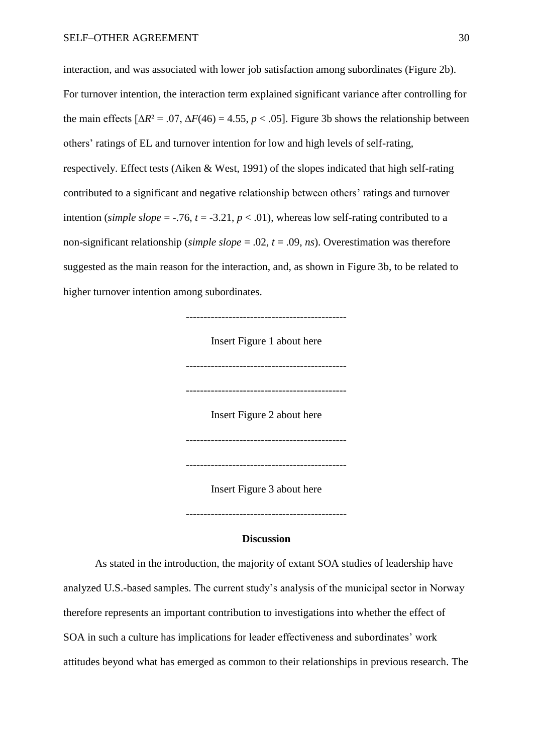interaction, and was associated with lower job satisfaction among subordinates (Figure 2b). For turnover intention, the interaction term explained significant variance after controlling for the main effects  $[\Delta R^2 = .07, \Delta F(46) = 4.55, p < .05]$ . Figure 3b shows the relationship between others' ratings of EL and turnover intention for low and high levels of self-rating, respectively. Effect tests (Aiken & West, 1991) of the slopes indicated that high self-rating contributed to a significant and negative relationship between others' ratings and turnover intention (*simple slope* =  $-76$ ,  $t = -3.21$ ,  $p < .01$ ), whereas low self-rating contributed to a non-significant relationship (*simple slope* = .02,  $t = .09$ , *ns*). Overestimation was therefore suggested as the main reason for the interaction, and, as shown in Figure 3b, to be related to higher turnover intention among subordinates.

> --------------------------------------------- Insert Figure 1 about here --------------------------------------------- Insert Figure 2 about here --------------------------------------------- --------------------------------------------- Insert Figure 3 about here ---------------------------------------------

#### **Discussion**

As stated in the introduction, the majority of extant SOA studies of leadership have analyzed U.S.-based samples. The current study's analysis of the municipal sector in Norway therefore represents an important contribution to investigations into whether the effect of SOA in such a culture has implications for leader effectiveness and subordinates' work attitudes beyond what has emerged as common to their relationships in previous research. The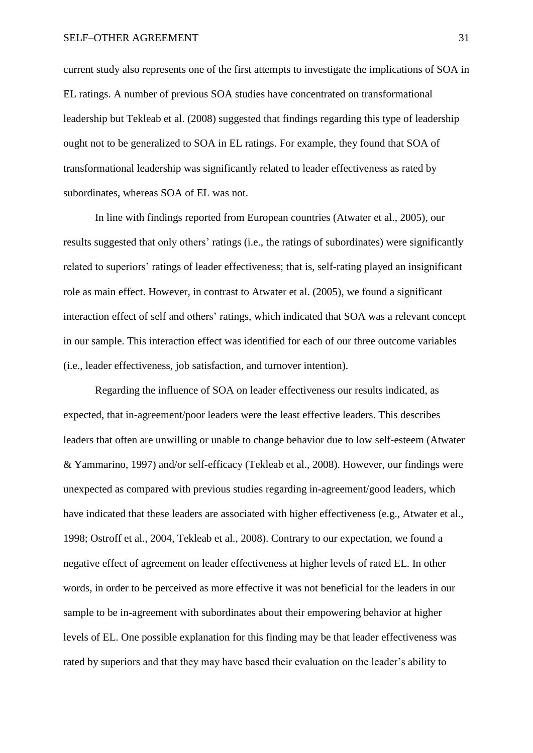current study also represents one of the first attempts to investigate the implications of SOA in EL ratings. A number of previous SOA studies have concentrated on transformational leadership but Tekleab et al. (2008) suggested that findings regarding this type of leadership ought not to be generalized to SOA in EL ratings. For example, they found that SOA of transformational leadership was significantly related to leader effectiveness as rated by subordinates, whereas SOA of EL was not.

In line with findings reported from European countries (Atwater et al., 2005), our results suggested that only others' ratings (i.e., the ratings of subordinates) were significantly related to superiors' ratings of leader effectiveness; that is, self-rating played an insignificant role as main effect. However, in contrast to Atwater et al. (2005), we found a significant interaction effect of self and others' ratings, which indicated that SOA was a relevant concept in our sample. This interaction effect was identified for each of our three outcome variables (i.e., leader effectiveness, job satisfaction, and turnover intention).

Regarding the influence of SOA on leader effectiveness our results indicated, as expected, that in-agreement/poor leaders were the least effective leaders. This describes leaders that often are unwilling or unable to change behavior due to low self-esteem (Atwater & Yammarino, 1997) and/or self-efficacy (Tekleab et al., 2008). However, our findings were unexpected as compared with previous studies regarding in-agreement/good leaders, which have indicated that these leaders are associated with higher effectiveness (e.g., Atwater et al., 1998; Ostroff et al., 2004, Tekleab et al., 2008). Contrary to our expectation, we found a negative effect of agreement on leader effectiveness at higher levels of rated EL. In other words, in order to be perceived as more effective it was not beneficial for the leaders in our sample to be in-agreement with subordinates about their empowering behavior at higher levels of EL. One possible explanation for this finding may be that leader effectiveness was rated by superiors and that they may have based their evaluation on the leader's ability to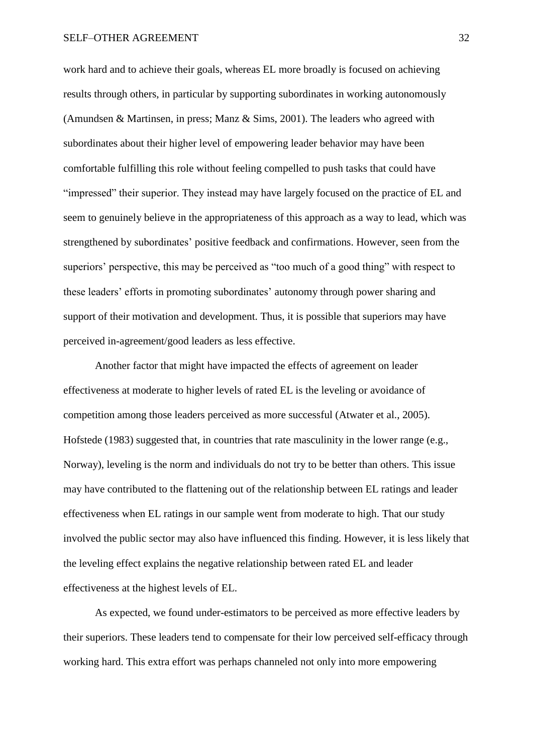work hard and to achieve their goals, whereas EL more broadly is focused on achieving results through others, in particular by supporting subordinates in working autonomously (Amundsen & Martinsen, in press; Manz & Sims, 2001). The leaders who agreed with subordinates about their higher level of empowering leader behavior may have been comfortable fulfilling this role without feeling compelled to push tasks that could have "impressed" their superior. They instead may have largely focused on the practice of EL and seem to genuinely believe in the appropriateness of this approach as a way to lead, which was strengthened by subordinates' positive feedback and confirmations. However, seen from the superiors' perspective, this may be perceived as "too much of a good thing" with respect to these leaders' efforts in promoting subordinates' autonomy through power sharing and support of their motivation and development. Thus, it is possible that superiors may have perceived in-agreement/good leaders as less effective.

Another factor that might have impacted the effects of agreement on leader effectiveness at moderate to higher levels of rated EL is the leveling or avoidance of competition among those leaders perceived as more successful (Atwater et al., 2005). Hofstede (1983) suggested that, in countries that rate masculinity in the lower range (e.g., Norway), leveling is the norm and individuals do not try to be better than others. This issue may have contributed to the flattening out of the relationship between EL ratings and leader effectiveness when EL ratings in our sample went from moderate to high. That our study involved the public sector may also have influenced this finding. However, it is less likely that the leveling effect explains the negative relationship between rated EL and leader effectiveness at the highest levels of EL.

As expected, we found under-estimators to be perceived as more effective leaders by their superiors. These leaders tend to compensate for their low perceived self-efficacy through working hard. This extra effort was perhaps channeled not only into more empowering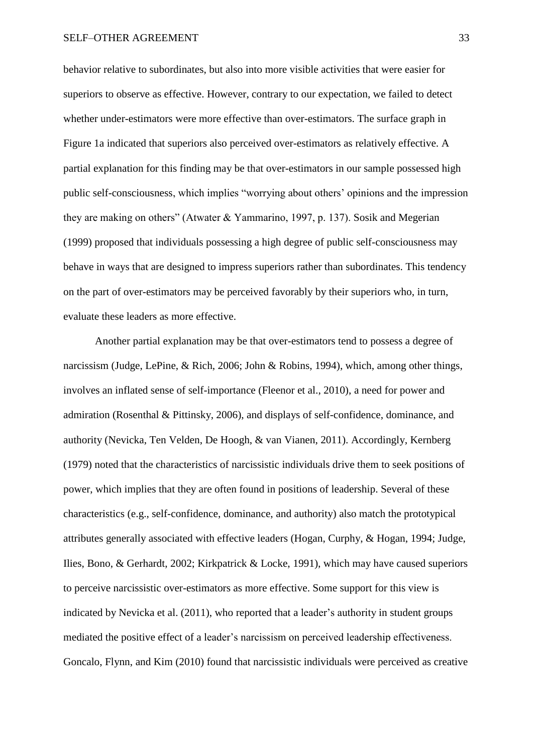behavior relative to subordinates, but also into more visible activities that were easier for superiors to observe as effective. However, contrary to our expectation, we failed to detect whether under-estimators were more effective than over-estimators. The surface graph in Figure 1a indicated that superiors also perceived over-estimators as relatively effective. A partial explanation for this finding may be that over-estimators in our sample possessed high public self-consciousness, which implies "worrying about others' opinions and the impression they are making on others" (Atwater & Yammarino, 1997, p. 137). Sosik and Megerian (1999) proposed that individuals possessing a high degree of public self-consciousness may behave in ways that are designed to impress superiors rather than subordinates. This tendency on the part of over-estimators may be perceived favorably by their superiors who, in turn, evaluate these leaders as more effective.

Another partial explanation may be that over-estimators tend to possess a degree of narcissism (Judge, LePine, & Rich, 2006; John & Robins, 1994), which, among other things, involves an inflated sense of self-importance (Fleenor et al., 2010), a need for power and admiration (Rosenthal & Pittinsky, 2006), and displays of self-confidence, dominance, and authority (Nevicka, Ten Velden, De Hoogh, & van Vianen, 2011). Accordingly, Kernberg (1979) noted that the characteristics of narcissistic individuals drive them to seek positions of power, which implies that they are often found in positions of leadership. Several of these characteristics (e.g., self-confidence, dominance, and authority) also match the prototypical attributes generally associated with effective leaders (Hogan, Curphy, & Hogan, 1994; Judge, Ilies, Bono, & Gerhardt, 2002; Kirkpatrick & Locke, 1991), which may have caused superiors to perceive narcissistic over-estimators as more effective. Some support for this view is indicated by Nevicka et al. (2011), who reported that a leader's authority in student groups mediated the positive effect of a leader's narcissism on perceived leadership effectiveness. Goncalo, Flynn, and Kim (2010) found that narcissistic individuals were perceived as creative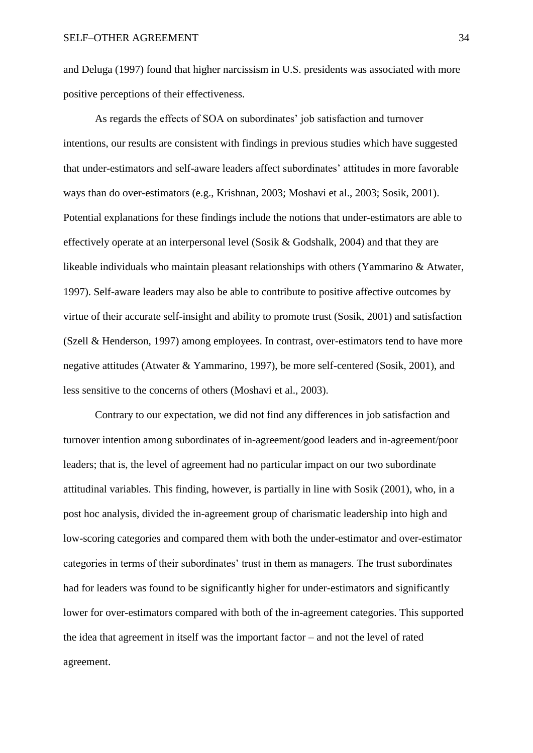and Deluga (1997) found that higher narcissism in U.S. presidents was associated with more positive perceptions of their effectiveness.

As regards the effects of SOA on subordinates' job satisfaction and turnover intentions, our results are consistent with findings in previous studies which have suggested that under-estimators and self-aware leaders affect subordinates' attitudes in more favorable ways than do over-estimators (e.g., Krishnan, 2003; Moshavi et al., 2003; Sosik, 2001). Potential explanations for these findings include the notions that under-estimators are able to effectively operate at an interpersonal level (Sosik & Godshalk, 2004) and that they are likeable individuals who maintain pleasant relationships with others (Yammarino & Atwater, 1997). Self-aware leaders may also be able to contribute to positive affective outcomes by virtue of their accurate self-insight and ability to promote trust (Sosik, 2001) and satisfaction (Szell & Henderson, 1997) among employees. In contrast, over-estimators tend to have more negative attitudes (Atwater & Yammarino, 1997), be more self-centered (Sosik, 2001), and less sensitive to the concerns of others (Moshavi et al., 2003).

Contrary to our expectation, we did not find any differences in job satisfaction and turnover intention among subordinates of in-agreement/good leaders and in-agreement/poor leaders; that is, the level of agreement had no particular impact on our two subordinate attitudinal variables. This finding, however, is partially in line with Sosik (2001), who, in a post hoc analysis, divided the in-agreement group of charismatic leadership into high and low-scoring categories and compared them with both the under-estimator and over-estimator categories in terms of their subordinates' trust in them as managers. The trust subordinates had for leaders was found to be significantly higher for under-estimators and significantly lower for over-estimators compared with both of the in-agreement categories. This supported the idea that agreement in itself was the important factor – and not the level of rated agreement.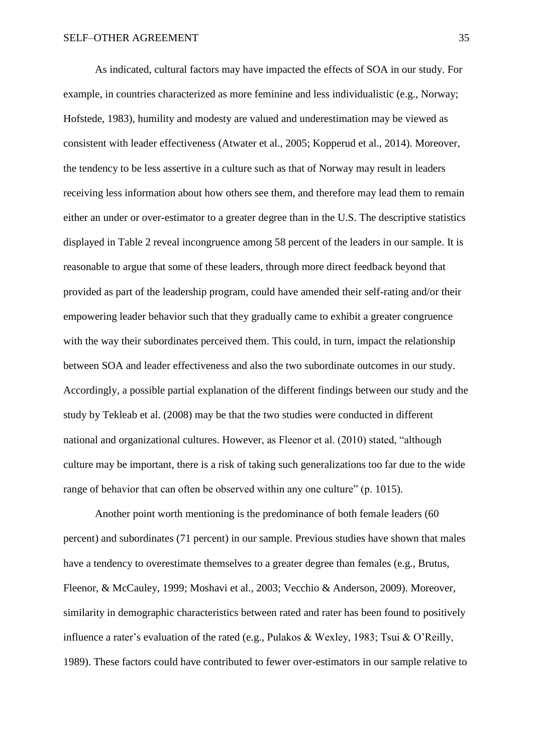As indicated, cultural factors may have impacted the effects of SOA in our study. For example, in countries characterized as more feminine and less individualistic (e.g., Norway; Hofstede, 1983), humility and modesty are valued and underestimation may be viewed as consistent with leader effectiveness (Atwater et al., 2005; Kopperud et al., 2014). Moreover, the tendency to be less assertive in a culture such as that of Norway may result in leaders receiving less information about how others see them, and therefore may lead them to remain either an under or over-estimator to a greater degree than in the U.S. The descriptive statistics displayed in Table 2 reveal incongruence among 58 percent of the leaders in our sample. It is reasonable to argue that some of these leaders, through more direct feedback beyond that provided as part of the leadership program, could have amended their self-rating and/or their empowering leader behavior such that they gradually came to exhibit a greater congruence with the way their subordinates perceived them. This could, in turn, impact the relationship between SOA and leader effectiveness and also the two subordinate outcomes in our study. Accordingly, a possible partial explanation of the different findings between our study and the study by Tekleab et al. (2008) may be that the two studies were conducted in different national and organizational cultures. However, as Fleenor et al. (2010) stated, "although culture may be important, there is a risk of taking such generalizations too far due to the wide range of behavior that can often be observed within any one culture" (p. 1015).

Another point worth mentioning is the predominance of both female leaders (60 percent) and subordinates (71 percent) in our sample. Previous studies have shown that males have a tendency to overestimate themselves to a greater degree than females (e.g., Brutus, Fleenor, & McCauley, 1999; Moshavi et al., 2003; Vecchio & Anderson, 2009). Moreover, similarity in demographic characteristics between rated and rater has been found to positively influence a rater's evaluation of the rated (e.g., Pulakos & Wexley, 1983; Tsui & O'Reilly, 1989). These factors could have contributed to fewer over-estimators in our sample relative to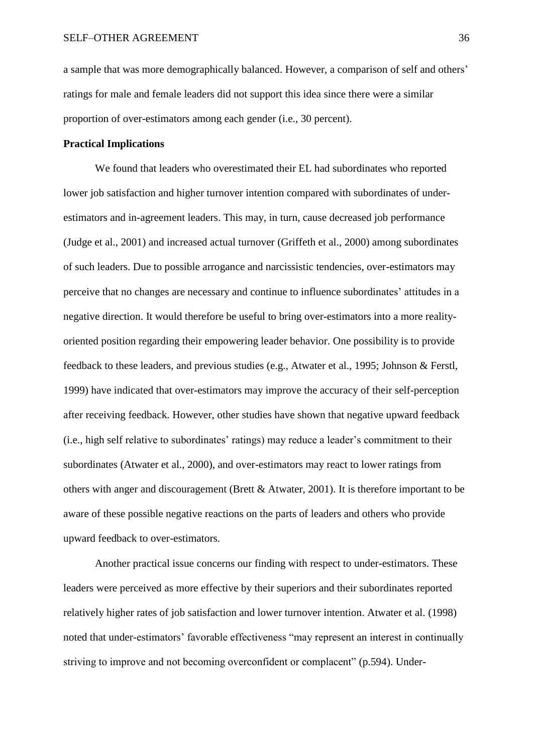a sample that was more demographically balanced. However, a comparison of self and others' ratings for male and female leaders did not support this idea since there were a similar proportion of over-estimators among each gender (i.e., 30 percent).

### **Practical Implications**

We found that leaders who overestimated their EL had subordinates who reported lower job satisfaction and higher turnover intention compared with subordinates of underestimators and in-agreement leaders. This may, in turn, cause decreased job performance (Judge et al., 2001) and increased actual turnover (Griffeth et al., 2000) among subordinates of such leaders. Due to possible arrogance and narcissistic tendencies, over-estimators may perceive that no changes are necessary and continue to influence subordinates' attitudes in a negative direction. It would therefore be useful to bring over-estimators into a more realityoriented position regarding their empowering leader behavior. One possibility is to provide feedback to these leaders, and previous studies (e.g., Atwater et al., 1995; Johnson & Ferstl, 1999) have indicated that over-estimators may improve the accuracy of their self-perception after receiving feedback. However, other studies have shown that negative upward feedback (i.e., high self relative to subordinates' ratings) may reduce a leader's commitment to their subordinates (Atwater et al., 2000), and over-estimators may react to lower ratings from others with anger and discouragement (Brett & Atwater, 2001). It is therefore important to be aware of these possible negative reactions on the parts of leaders and others who provide upward feedback to over-estimators.

Another practical issue concerns our finding with respect to under-estimators. These leaders were perceived as more effective by their superiors and their subordinates reported relatively higher rates of job satisfaction and lower turnover intention. Atwater et al. (1998) noted that under-estimators' favorable effectiveness "may represent an interest in continually striving to improve and not becoming overconfident or complacent" (p.594). Under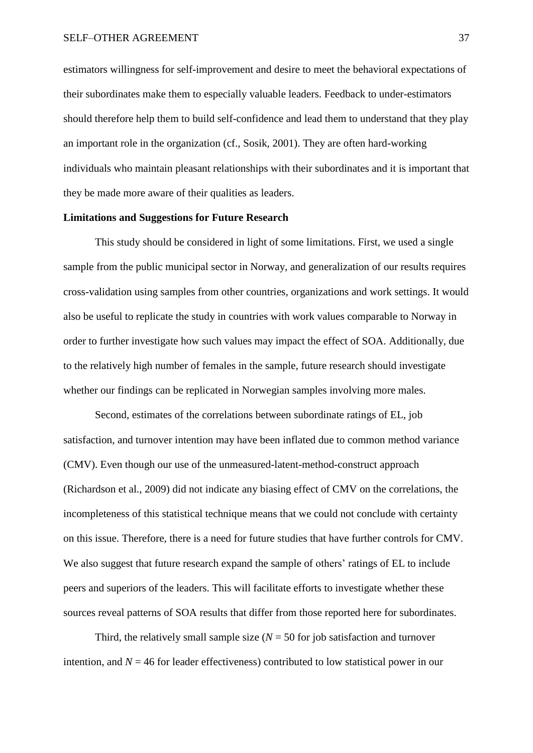estimators willingness for self-improvement and desire to meet the behavioral expectations of their subordinates make them to especially valuable leaders. Feedback to under-estimators should therefore help them to build self-confidence and lead them to understand that they play an important role in the organization (cf., Sosik, 2001). They are often hard-working individuals who maintain pleasant relationships with their subordinates and it is important that they be made more aware of their qualities as leaders.

### **Limitations and Suggestions for Future Research**

This study should be considered in light of some limitations. First, we used a single sample from the public municipal sector in Norway, and generalization of our results requires cross-validation using samples from other countries, organizations and work settings. It would also be useful to replicate the study in countries with work values comparable to Norway in order to further investigate how such values may impact the effect of SOA. Additionally, due to the relatively high number of females in the sample, future research should investigate whether our findings can be replicated in Norwegian samples involving more males.

Second, estimates of the correlations between subordinate ratings of EL, job satisfaction, and turnover intention may have been inflated due to common method variance (CMV). Even though our use of the unmeasured-latent-method-construct approach (Richardson et al., 2009) did not indicate any biasing effect of CMV on the correlations, the incompleteness of this statistical technique means that we could not conclude with certainty on this issue. Therefore, there is a need for future studies that have further controls for CMV. We also suggest that future research expand the sample of others' ratings of EL to include peers and superiors of the leaders. This will facilitate efforts to investigate whether these sources reveal patterns of SOA results that differ from those reported here for subordinates.

Third, the relatively small sample size  $(N = 50$  for job satisfaction and turnover intention, and  $N = 46$  for leader effectiveness) contributed to low statistical power in our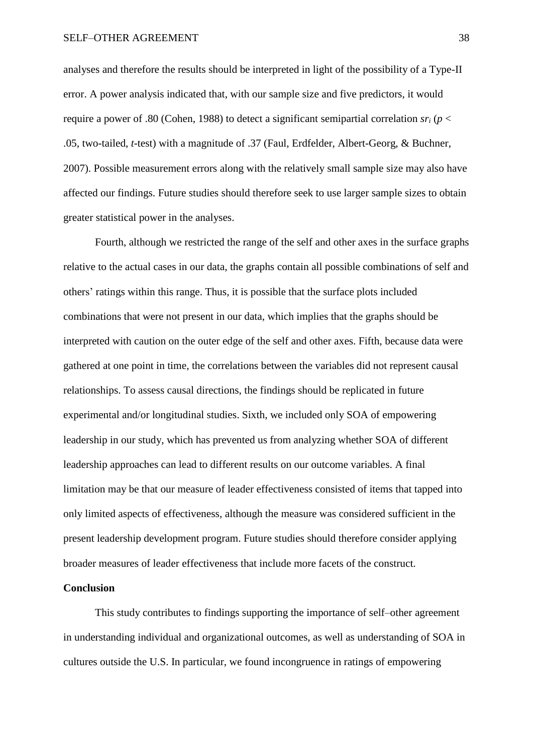analyses and therefore the results should be interpreted in light of the possibility of a Type-II error. A power analysis indicated that, with our sample size and five predictors, it would require a power of .80 (Cohen, 1988) to detect a significant semipartial correlation  $sr_i$  ( $p <$ .05, two-tailed, *t*-test) with a magnitude of .37 (Faul, Erdfelder, Albert-Georg, & Buchner, 2007). Possible measurement errors along with the relatively small sample size may also have affected our findings. Future studies should therefore seek to use larger sample sizes to obtain greater statistical power in the analyses.

Fourth, although we restricted the range of the self and other axes in the surface graphs relative to the actual cases in our data, the graphs contain all possible combinations of self and others' ratings within this range. Thus, it is possible that the surface plots included combinations that were not present in our data, which implies that the graphs should be interpreted with caution on the outer edge of the self and other axes. Fifth, because data were gathered at one point in time, the correlations between the variables did not represent causal relationships. To assess causal directions, the findings should be replicated in future experimental and/or longitudinal studies. Sixth, we included only SOA of empowering leadership in our study, which has prevented us from analyzing whether SOA of different leadership approaches can lead to different results on our outcome variables. A final limitation may be that our measure of leader effectiveness consisted of items that tapped into only limited aspects of effectiveness, although the measure was considered sufficient in the present leadership development program. Future studies should therefore consider applying broader measures of leader effectiveness that include more facets of the construct.

#### **Conclusion**

This study contributes to findings supporting the importance of self–other agreement in understanding individual and organizational outcomes, as well as understanding of SOA in cultures outside the U.S. In particular, we found incongruence in ratings of empowering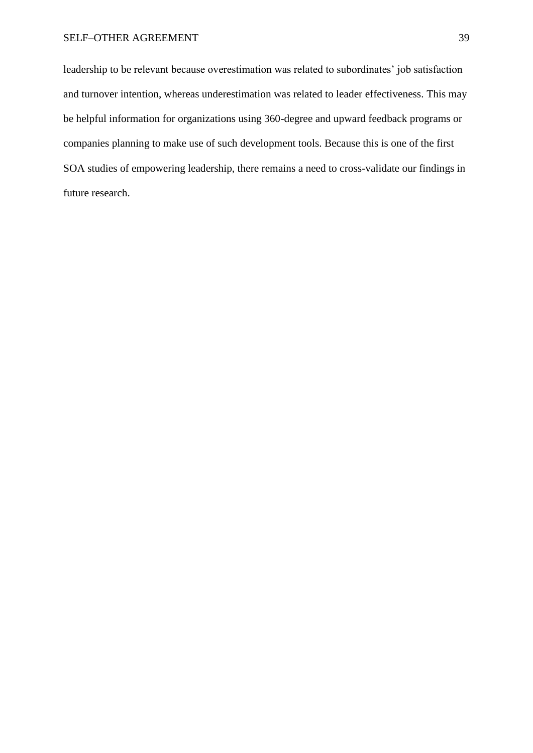leadership to be relevant because overestimation was related to subordinates' job satisfaction and turnover intention, whereas underestimation was related to leader effectiveness. This may be helpful information for organizations using 360-degree and upward feedback programs or companies planning to make use of such development tools. Because this is one of the first SOA studies of empowering leadership, there remains a need to cross-validate our findings in future research.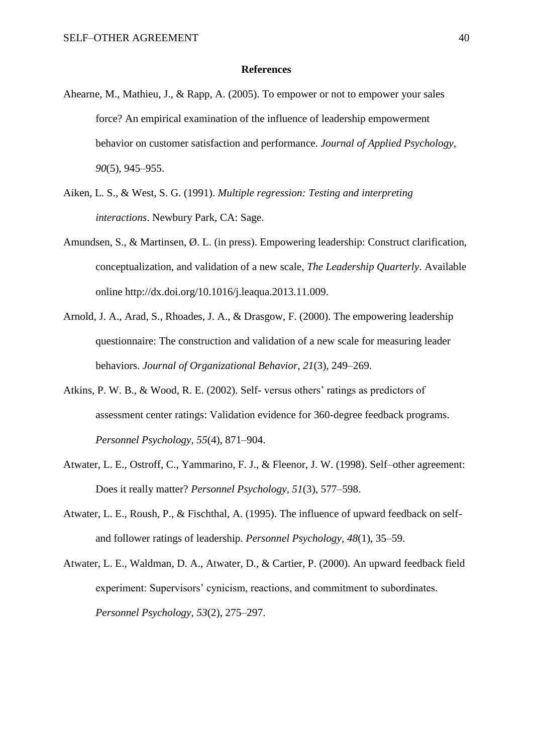#### **References**

- Ahearne, M., Mathieu, J., & Rapp, A. (2005). To empower or not to empower your sales force? An empirical examination of the influence of leadership empowerment behavior on customer satisfaction and performance. *Journal of Applied Psychology, 90*(5), 945–955.
- Aiken, L. S., & West, S. G. (1991). *Multiple regression: Testing and interpreting interactions*. Newbury Park, CA: Sage.
- Amundsen, S., & Martinsen, Ø. L. (in press). Empowering leadership: Construct clarification, conceptualization, and validation of a new scale, *The Leadership Quarterly*. Available online http://dx.doi.org/10.1016/j.leaqua.2013.11.009.
- Arnold, J. A., Arad, S., Rhoades, J. A., & Drasgow, F. (2000). The empowering leadership questionnaire: The construction and validation of a new scale for measuring leader behaviors. *Journal of Organizational Behavior, 21*(3), 249–269.
- Atkins, P. W. B., & Wood, R. E. (2002). Self- versus others' ratings as predictors of assessment center ratings: Validation evidence for 360-degree feedback programs. *Personnel Psychology, 55*(4), 871–904.
- Atwater, L. E., Ostroff, C., Yammarino, F. J., & Fleenor, J. W. (1998). Self–other agreement: Does it really matter? *Personnel Psychology, 51*(3), 577–598.
- Atwater, L. E., Roush, P., & Fischthal, A. (1995). The influence of upward feedback on selfand follower ratings of leadership. *Personnel Psychology, 48*(1), 35–59.
- Atwater, L. E., Waldman, D. A., Atwater, D., & Cartier, P. (2000). An upward feedback field experiment: Supervisors' cynicism, reactions, and commitment to subordinates. *Personnel Psychology, 53*(2), 275–297.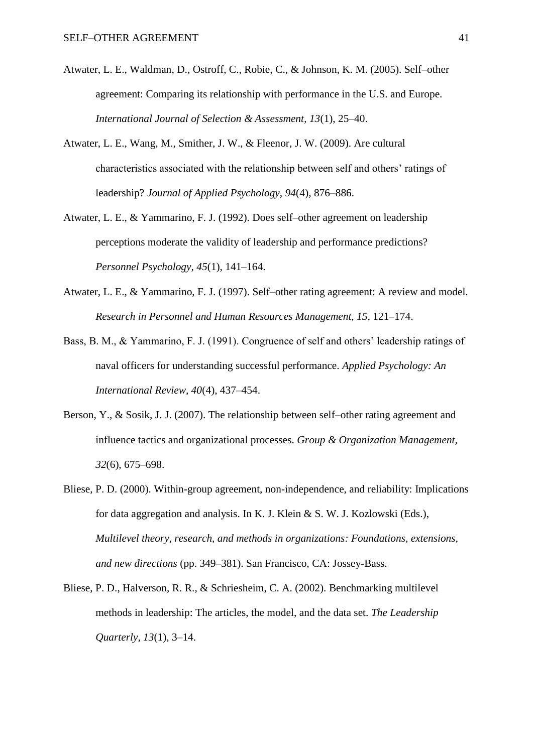- Atwater, L. E., Waldman, D., Ostroff, C., Robie, C., & Johnson, K. M. (2005). Self–other agreement: Comparing its relationship with performance in the U.S. and Europe. *International Journal of Selection & Assessment, 13*(1), 25–40.
- Atwater, L. E., Wang, M., Smither, J. W., & Fleenor, J. W. (2009). Are cultural characteristics associated with the relationship between self and others' ratings of leadership? *Journal of Applied Psychology, 94*(4), 876–886.
- Atwater, L. E., & Yammarino, F. J. (1992). Does self–other agreement on leadership perceptions moderate the validity of leadership and performance predictions? *Personnel Psychology, 45*(1), 141–164.
- Atwater, L. E., & Yammarino, F. J. (1997). Self–other rating agreement: A review and model. *Research in Personnel and Human Resources Management, 15*, 121–174.
- Bass, B. M., & Yammarino, F. J. (1991). Congruence of self and others' leadership ratings of naval officers for understanding successful performance. *Applied Psychology: An International Review, 40*(4), 437–454.
- Berson, Y., & Sosik, J. J. (2007). The relationship between self–other rating agreement and influence tactics and organizational processes. *Group & Organization Management, 32*(6), 675–698.
- Bliese, P. D. (2000). Within-group agreement, non-independence, and reliability: Implications for data aggregation and analysis. In K. J. Klein & S. W. J. Kozlowski (Eds.), *Multilevel theory, research, and methods in organizations: Foundations, extensions, and new directions* (pp. 349–381). San Francisco, CA: Jossey-Bass.
- Bliese, P. D., Halverson, R. R., & Schriesheim, C. A. (2002). Benchmarking multilevel methods in leadership: The articles, the model, and the data set. *The Leadership Quarterly, 13*(1), 3–14.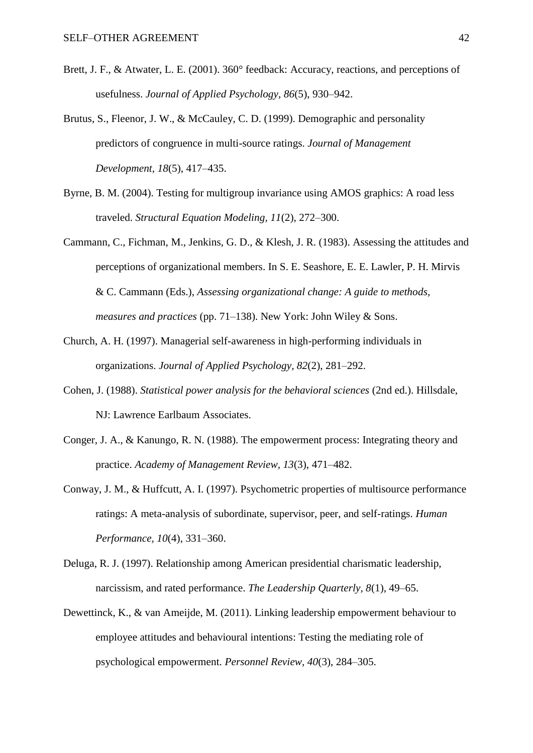- Brett, J. F., & Atwater, L. E. (2001). 360° feedback: Accuracy, reactions, and perceptions of usefulness. *Journal of Applied Psychology, 86*(5), 930–942.
- Brutus, S., Fleenor, J. W., & McCauley, C. D. (1999). Demographic and personality predictors of congruence in multi-source ratings. *Journal of Management Development, 18*(5), 417–435.
- Byrne, B. M. (2004). Testing for multigroup invariance using AMOS graphics: A road less traveled. *Structural Equation Modeling, 11*(2), 272–300.
- Cammann, C., Fichman, M., Jenkins, G. D., & Klesh, J. R. (1983). Assessing the attitudes and perceptions of organizational members. In S. E. Seashore, E. E. Lawler, P. H. Mirvis & C. Cammann (Eds.), *Assessing organizational change: A guide to methods, measures and practices* (pp. 71–138). New York: John Wiley & Sons.
- Church, A. H. (1997). Managerial self-awareness in high-performing individuals in organizations. *Journal of Applied Psychology, 82*(2), 281–292.
- Cohen, J. (1988). *Statistical power analysis for the behavioral sciences* (2nd ed.). Hillsdale, NJ: Lawrence Earlbaum Associates.
- Conger, J. A., & Kanungo, R. N. (1988). The empowerment process: Integrating theory and practice. *Academy of Management Review, 13*(3), 471–482.
- Conway, J. M., & Huffcutt, A. I. (1997). Psychometric properties of multisource performance ratings: A meta-analysis of subordinate, supervisor, peer, and self-ratings. *Human Performance, 10*(4), 331–360.
- Deluga, R. J. (1997). Relationship among American presidential charismatic leadership, narcissism, and rated performance. *The Leadership Quarterly, 8*(1), 49–65.
- Dewettinck, K., & van Ameijde, M. (2011). Linking leadership empowerment behaviour to employee attitudes and behavioural intentions: Testing the mediating role of psychological empowerment. *Personnel Review, 40*(3), 284–305.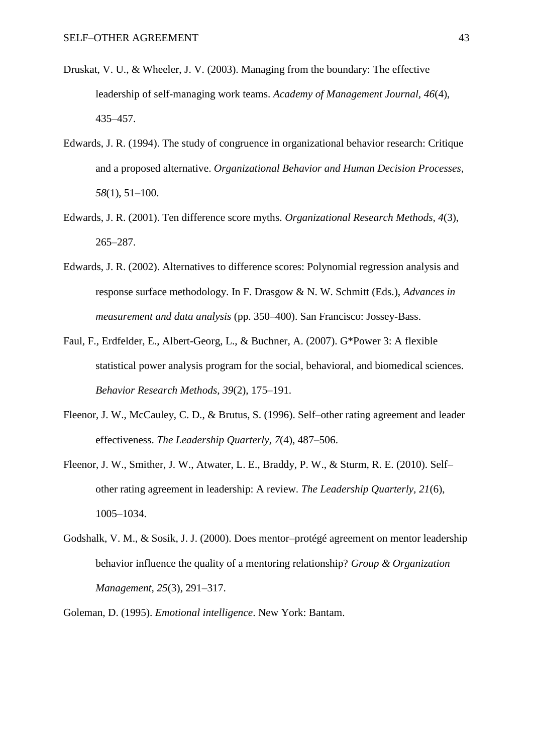- Druskat, V. U., & Wheeler, J. V. (2003). Managing from the boundary: The effective leadership of self-managing work teams. *Academy of Management Journal, 46*(4), 435–457.
- Edwards, J. R. (1994). The study of congruence in organizational behavior research: Critique and a proposed alternative. *Organizational Behavior and Human Decision Processes, 58*(1), 51–100.
- Edwards, J. R. (2001). Ten difference score myths. *Organizational Research Methods, 4*(3), 265–287.
- Edwards, J. R. (2002). Alternatives to difference scores: Polynomial regression analysis and response surface methodology. In F. Drasgow & N. W. Schmitt (Eds.), *Advances in measurement and data analysis* (pp. 350–400). San Francisco: Jossey-Bass.
- Faul, F., Erdfelder, E., Albert-Georg, L., & Buchner, A. (2007). G\*Power 3: A flexible statistical power analysis program for the social, behavioral, and biomedical sciences. *Behavior Research Methods, 39*(2), 175–191.
- Fleenor, J. W., McCauley, C. D., & Brutus, S. (1996). Self–other rating agreement and leader effectiveness. *The Leadership Quarterly, 7*(4), 487–506.
- Fleenor, J. W., Smither, J. W., Atwater, L. E., Braddy, P. W., & Sturm, R. E. (2010). Self– other rating agreement in leadership: A review. *The Leadership Quarterly, 21*(6), 1005–1034.
- Godshalk, V. M., & Sosik, J. J. (2000). Does mentor–protégé agreement on mentor leadership behavior influence the quality of a mentoring relationship? *Group & Organization Management, 25*(3), 291–317.

Goleman, D. (1995). *Emotional intelligence*. New York: Bantam.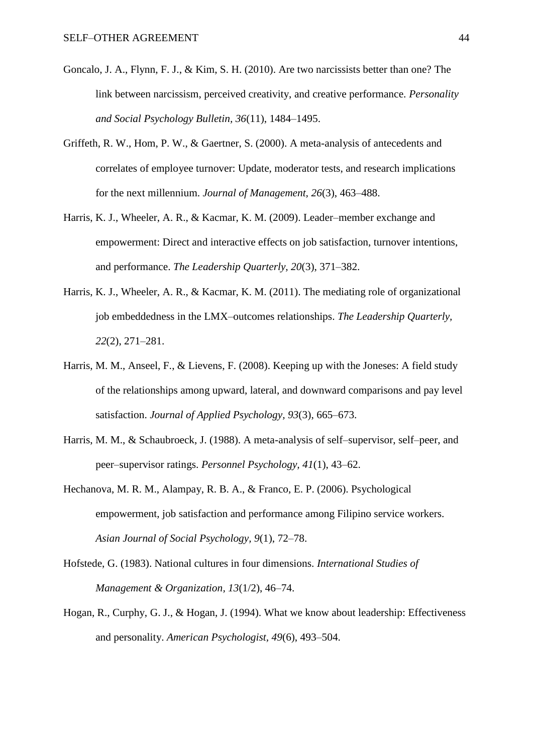- Goncalo, J. A., Flynn, F. J., & Kim, S. H. (2010). Are two narcissists better than one? The link between narcissism, perceived creativity, and creative performance. *Personality and Social Psychology Bulletin, 36*(11), 1484–1495.
- Griffeth, R. W., Hom, P. W., & Gaertner, S. (2000). A meta-analysis of antecedents and correlates of employee turnover: Update, moderator tests, and research implications for the next millennium. *Journal of Management, 26*(3), 463–488.
- Harris, K. J., Wheeler, A. R., & Kacmar, K. M. (2009). Leader–member exchange and empowerment: Direct and interactive effects on job satisfaction, turnover intentions, and performance. *The Leadership Quarterly, 20*(3), 371–382.
- Harris, K. J., Wheeler, A. R., & Kacmar, K. M. (2011). The mediating role of organizational job embeddedness in the LMX–outcomes relationships. *The Leadership Quarterly, 22*(2), 271–281.
- Harris, M. M., Anseel, F., & Lievens, F. (2008). Keeping up with the Joneses: A field study of the relationships among upward, lateral, and downward comparisons and pay level satisfaction. *Journal of Applied Psychology, 93*(3), 665–673.
- Harris, M. M., & Schaubroeck, J. (1988). A meta-analysis of self–supervisor, self–peer, and peer–supervisor ratings. *Personnel Psychology, 41*(1), 43–62.
- Hechanova, M. R. M., Alampay, R. B. A., & Franco, E. P. (2006). Psychological empowerment, job satisfaction and performance among Filipino service workers. *Asian Journal of Social Psychology, 9*(1), 72–78.
- Hofstede, G. (1983). National cultures in four dimensions. *International Studies of Management & Organization, 13*(1/2), 46–74.
- Hogan, R., Curphy, G. J., & Hogan, J. (1994). What we know about leadership: Effectiveness and personality. *American Psychologist, 49*(6), 493–504.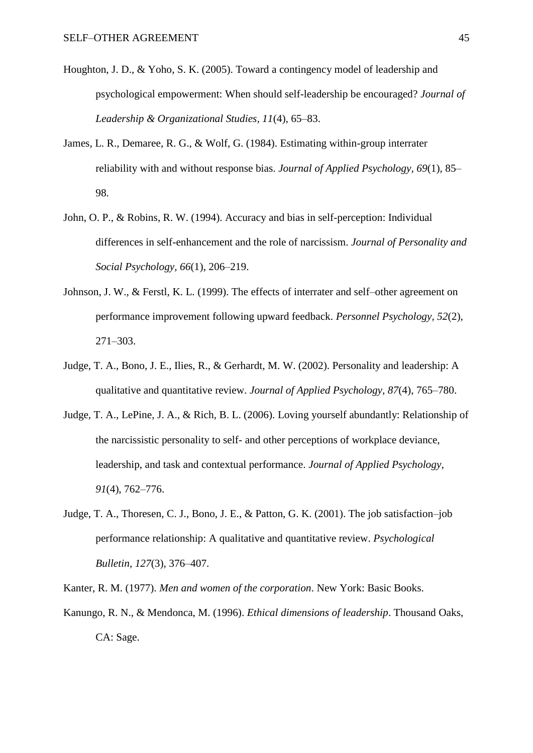- Houghton, J. D., & Yoho, S. K. (2005). Toward a contingency model of leadership and psychological empowerment: When should self-leadership be encouraged? *Journal of Leadership & Organizational Studies, 11*(4), 65–83.
- James, L. R., Demaree, R. G., & Wolf, G. (1984). Estimating within-group interrater reliability with and without response bias. *Journal of Applied Psychology, 69*(1), 85– 98.
- John, O. P., & Robins, R. W. (1994). Accuracy and bias in self-perception: Individual differences in self-enhancement and the role of narcissism. *Journal of Personality and Social Psychology, 66*(1), 206–219.
- Johnson, J. W., & Ferstl, K. L. (1999). The effects of interrater and self–other agreement on performance improvement following upward feedback. *Personnel Psychology, 52*(2), 271–303.
- Judge, T. A., Bono, J. E., Ilies, R., & Gerhardt, M. W. (2002). Personality and leadership: A qualitative and quantitative review. *Journal of Applied Psychology, 87*(4), 765–780.
- Judge, T. A., LePine, J. A., & Rich, B. L. (2006). Loving yourself abundantly: Relationship of the narcissistic personality to self- and other perceptions of workplace deviance, leadership, and task and contextual performance. *Journal of Applied Psychology, 91*(4), 762–776.
- Judge, T. A., Thoresen, C. J., Bono, J. E., & Patton, G. K. (2001). The job satisfaction–job performance relationship: A qualitative and quantitative review. *Psychological Bulletin, 127*(3), 376–407.

Kanter, R. M. (1977). *Men and women of the corporation*. New York: Basic Books.

Kanungo, R. N., & Mendonca, M. (1996). *Ethical dimensions of leadership*. Thousand Oaks, CA: Sage.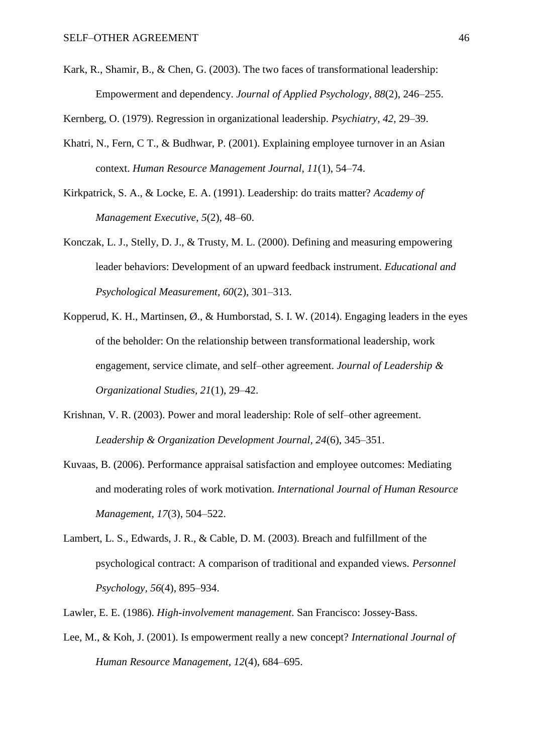Kark, R., Shamir, B., & Chen, G. (2003). The two faces of transformational leadership: Empowerment and dependency. *Journal of Applied Psychology, 88*(2), 246–255.

Kernberg, O. (1979). Regression in organizational leadership. *Psychiatry, 42*, 29–39.

- Khatri, N., Fern, C T., & Budhwar, P. (2001). Explaining employee turnover in an Asian context. *Human Resource Management Journal, 11*(1), 54–74.
- Kirkpatrick, S. A., & Locke, E. A. (1991). Leadership: do traits matter? *Academy of Management Executive*, *5*(2), 48–60.
- Konczak, L. J., Stelly, D. J., & Trusty, M. L. (2000). Defining and measuring empowering leader behaviors: Development of an upward feedback instrument. *Educational and Psychological Measurement, 60*(2), 301–313.
- Kopperud, K. H., Martinsen,  $\emptyset$ ., & Humborstad, S. I. W. (2014). Engaging leaders in the eyes of the beholder: On the relationship between transformational leadership, work engagement, service climate, and self–other agreement. *Journal of Leadership & Organizational Studies, 21*(1), 29–42.
- Krishnan, V. R. (2003). Power and moral leadership: Role of self–other agreement. *Leadership & Organization Development Journal, 24*(6), 345–351.
- Kuvaas, B. (2006). Performance appraisal satisfaction and employee outcomes: Mediating and moderating roles of work motivation. *International Journal of Human Resource Management, 17*(3), 504–522.
- Lambert, L. S., Edwards, J. R., & Cable, D. M. (2003). Breach and fulfillment of the psychological contract: A comparison of traditional and expanded views. *Personnel Psychology, 56*(4), 895–934.

Lawler, E. E. (1986). *High-involvement management*. San Francisco: Jossey-Bass.

Lee, M., & Koh, J. (2001). Is empowerment really a new concept? *International Journal of Human Resource Management, 12*(4), 684–695.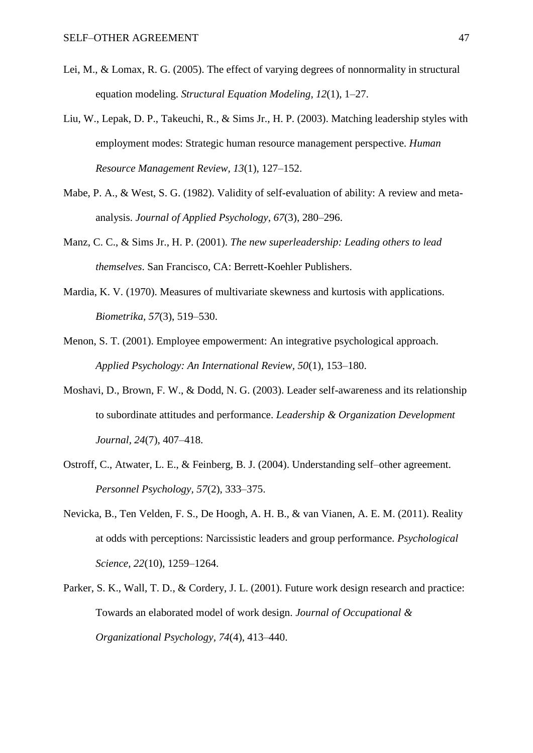- Lei, M., & Lomax, R. G. (2005). The effect of varying degrees of nonnormality in structural equation modeling. *Structural Equation Modeling, 12*(1), 1–27.
- Liu, W., Lepak, D. P., Takeuchi, R., & Sims Jr., H. P. (2003). Matching leadership styles with employment modes: Strategic human resource management perspective. *Human Resource Management Review, 13*(1), 127–152.
- Mabe, P. A., & West, S. G. (1982). Validity of self-evaluation of ability: A review and metaanalysis. *Journal of Applied Psychology, 67*(3), 280–296.
- Manz, C. C., & Sims Jr., H. P. (2001). *The new superleadership: Leading others to lead themselves*. San Francisco, CA: Berrett-Koehler Publishers.
- Mardia, K. V. (1970). Measures of multivariate skewness and kurtosis with applications. *Biometrika, 57*(3), 519–530.
- Menon, S. T. (2001). Employee empowerment: An integrative psychological approach. *Applied Psychology: An International Review, 50*(1), 153–180.
- Moshavi, D., Brown, F. W., & Dodd, N. G. (2003). Leader self-awareness and its relationship to subordinate attitudes and performance. *Leadership & Organization Development Journal, 24*(7), 407–418.
- Ostroff, C., Atwater, L. E., & Feinberg, B. J. (2004). Understanding self–other agreement. *Personnel Psychology, 57*(2), 333–375.
- Nevicka, B., Ten Velden, F. S., De Hoogh, A. H. B., & van Vianen, A. E. M. (2011). Reality at odds with perceptions: Narcissistic leaders and group performance. *Psychological Science, 22*(10), 1259–1264.
- Parker, S. K., Wall, T. D., & Cordery, J. L. (2001). Future work design research and practice: Towards an elaborated model of work design. *Journal of Occupational & Organizational Psychology, 74*(4), 413–440.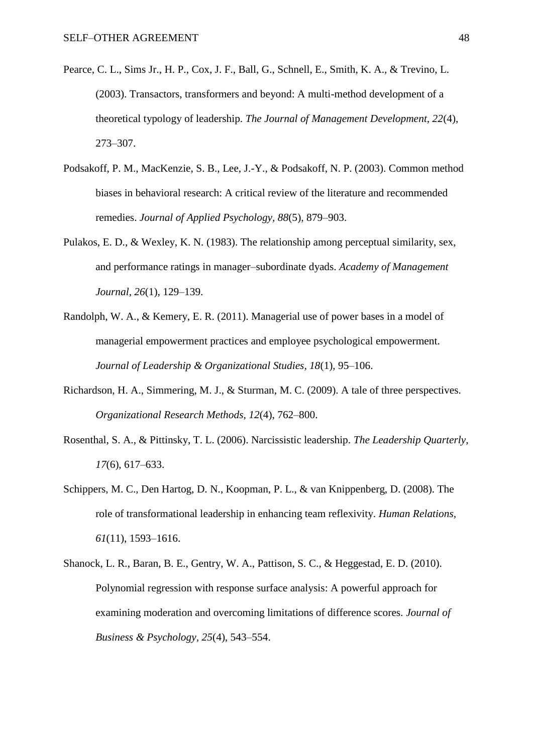- Pearce, C. L., Sims Jr., H. P., Cox, J. F., Ball, G., Schnell, E., Smith, K. A., & Trevino, L. (2003). Transactors, transformers and beyond: A multi-method development of a theoretical typology of leadership. *The Journal of Management Development, 22*(4), 273–307.
- Podsakoff, P. M., MacKenzie, S. B., Lee, J.-Y., & Podsakoff, N. P. (2003). Common method biases in behavioral research: A critical review of the literature and recommended remedies. *Journal of Applied Psychology, 88*(5), 879–903.
- Pulakos, E. D., & Wexley, K. N. (1983). The relationship among perceptual similarity, sex, and performance ratings in manager–subordinate dyads. *Academy of Management Journal, 26*(1), 129–139.
- Randolph, W. A., & Kemery, E. R. (2011). Managerial use of power bases in a model of managerial empowerment practices and employee psychological empowerment. *Journal of Leadership & Organizational Studies, 18*(1), 95–106.
- Richardson, H. A., Simmering, M. J., & Sturman, M. C. (2009). A tale of three perspectives. *Organizational Research Methods, 12*(4), 762–800.
- Rosenthal, S. A., & Pittinsky, T. L. (2006). Narcissistic leadership. *The Leadership Quarterly, 17*(6), 617–633.
- Schippers, M. C., Den Hartog, D. N., Koopman, P. L., & van Knippenberg, D. (2008). The role of transformational leadership in enhancing team reflexivity. *Human Relations, 61*(11), 1593–1616.
- Shanock, L. R., Baran, B. E., Gentry, W. A., Pattison, S. C., & Heggestad, E. D. (2010). Polynomial regression with response surface analysis: A powerful approach for examining moderation and overcoming limitations of difference scores. *Journal of Business & Psychology, 25*(4), 543–554.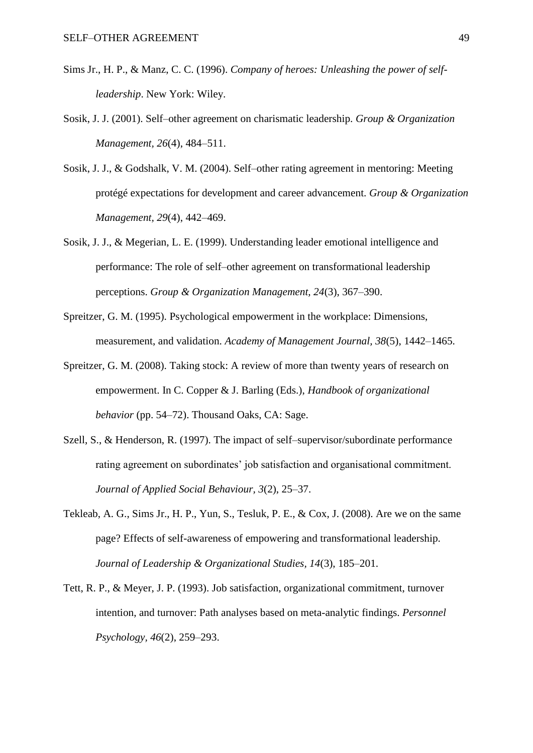- Sims Jr., H. P., & Manz, C. C. (1996). *Company of heroes: Unleashing the power of selfleadership*. New York: Wiley.
- Sosik, J. J. (2001). Self–other agreement on charismatic leadership. *Group & Organization Management, 26*(4), 484–511.
- Sosik, J. J., & Godshalk, V. M. (2004). Self–other rating agreement in mentoring: Meeting protégé expectations for development and career advancement. *Group & Organization Management, 29*(4), 442–469.
- Sosik, J. J., & Megerian, L. E. (1999). Understanding leader emotional intelligence and performance: The role of self–other agreement on transformational leadership perceptions. *Group & Organization Management, 24*(3), 367–390.
- Spreitzer, G. M. (1995). Psychological empowerment in the workplace: Dimensions, measurement, and validation. *Academy of Management Journal, 38*(5), 1442–1465.
- Spreitzer, G. M. (2008). Taking stock: A review of more than twenty years of research on empowerment. In C. Copper & J. Barling (Eds.), *Handbook of organizational behavior* (pp. 54–72). Thousand Oaks, CA: Sage.
- Szell, S., & Henderson, R. (1997). The impact of self–supervisor/subordinate performance rating agreement on subordinates' job satisfaction and organisational commitment. *Journal of Applied Social Behaviour, 3*(2), 25–37.
- Tekleab, A. G., Sims Jr., H. P., Yun, S., Tesluk, P. E., & Cox, J. (2008). Are we on the same page? Effects of self-awareness of empowering and transformational leadership. *Journal of Leadership & Organizational Studies, 14*(3), 185–201.
- Tett, R. P., & Meyer, J. P. (1993). Job satisfaction, organizational commitment, turnover intention, and turnover: Path analyses based on meta-analytic findings. *Personnel Psychology, 46*(2), 259–293.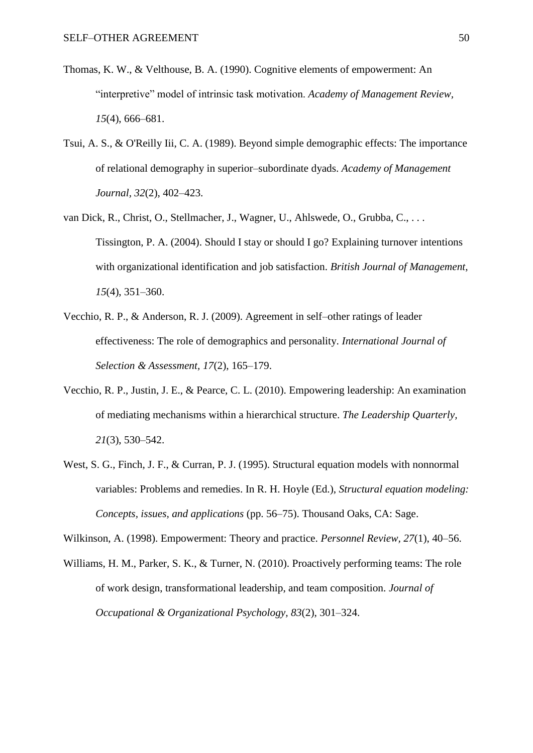- Thomas, K. W., & Velthouse, B. A. (1990). Cognitive elements of empowerment: An "interpretive" model of intrinsic task motivation. *Academy of Management Review, 15*(4), 666–681.
- Tsui, A. S., & O'Reilly Iii, C. A. (1989). Beyond simple demographic effects: The importance of relational demography in superior–subordinate dyads. *Academy of Management Journal, 32*(2), 402–423.
- van Dick, R., Christ, O., Stellmacher, J., Wagner, U., Ahlswede, O., Grubba, C., . . . Tissington, P. A. (2004). Should I stay or should I go? Explaining turnover intentions with organizational identification and job satisfaction. *British Journal of Management, 15*(4), 351–360.
- Vecchio, R. P., & Anderson, R. J. (2009). Agreement in self–other ratings of leader effectiveness: The role of demographics and personality. *International Journal of Selection & Assessment, 17*(2), 165–179.
- Vecchio, R. P., Justin, J. E., & Pearce, C. L. (2010). Empowering leadership: An examination of mediating mechanisms within a hierarchical structure. *The Leadership Quarterly, 21*(3), 530–542.
- West, S. G., Finch, J. F., & Curran, P. J. (1995). Structural equation models with nonnormal variables: Problems and remedies. In R. H. Hoyle (Ed.), *Structural equation modeling: Concepts, issues, and applications* (pp. 56–75). Thousand Oaks, CA: Sage.
- Wilkinson, A. (1998). Empowerment: Theory and practice. *Personnel Review, 27*(1), 40–56.
- Williams, H. M., Parker, S. K., & Turner, N. (2010). Proactively performing teams: The role of work design, transformational leadership, and team composition. *Journal of Occupational & Organizational Psychology, 83*(2), 301–324.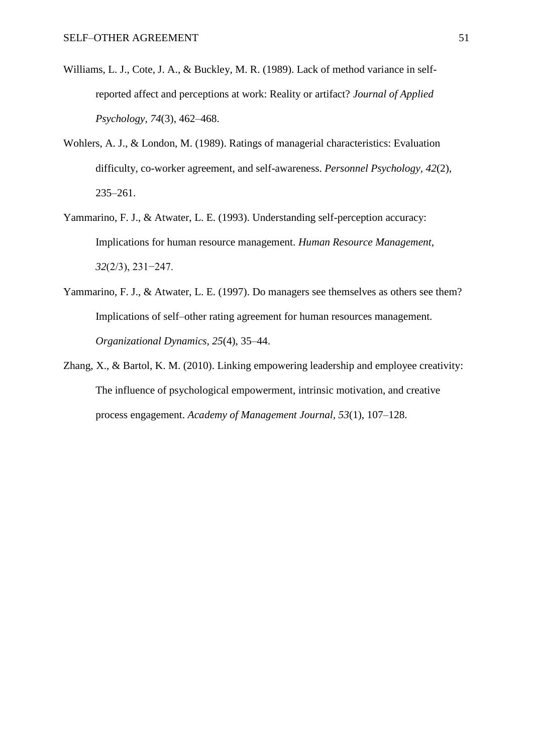- Williams, L. J., Cote, J. A., & Buckley, M. R. (1989). Lack of method variance in selfreported affect and perceptions at work: Reality or artifact? *Journal of Applied Psychology, 74*(3), 462–468.
- Wohlers, A. J., & London, M. (1989). Ratings of managerial characteristics: Evaluation difficulty, co-worker agreement, and self-awareness. *Personnel Psychology, 42*(2), 235–261.
- Yammarino, F. J., & Atwater, L. E. (1993). Understanding self-perception accuracy: Implications for human resource management. *Human Resource Management, 32*(2/3), 231−247.
- Yammarino, F. J., & Atwater, L. E. (1997). Do managers see themselves as others see them? Implications of self–other rating agreement for human resources management. *Organizational Dynamics, 25*(4), 35–44.
- Zhang, X., & Bartol, K. M. (2010). Linking empowering leadership and employee creativity: The influence of psychological empowerment, intrinsic motivation, and creative process engagement. *Academy of Management Journal, 53*(1), 107–128.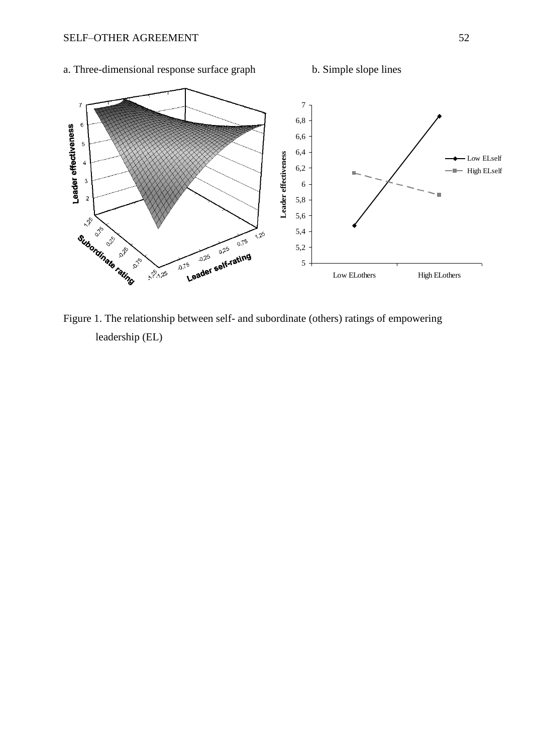## a. Three-dimensional response surface graph b. Simple slope lines



Figure 1. The relationship between self- and subordinate (others) ratings of empowering leadership (EL)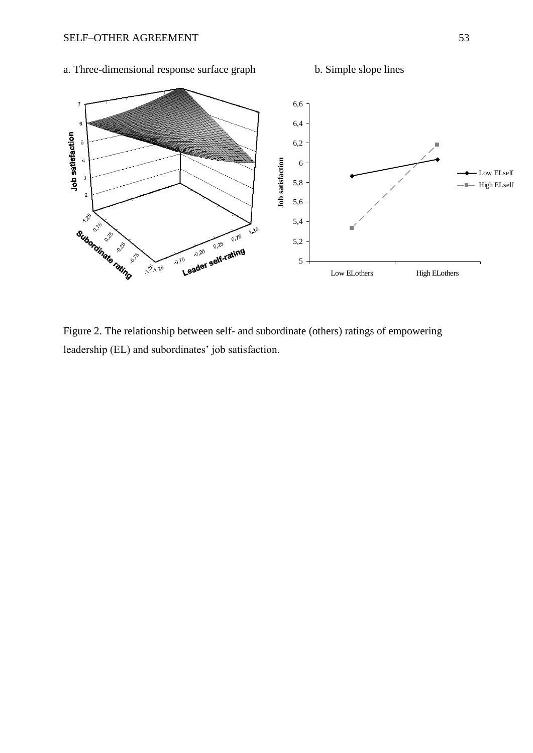## a. Three-dimensional response surface graph b. Simple slope lines



Figure 2. The relationship between self- and subordinate (others) ratings of empowering leadership (EL) and subordinates' job satisfaction.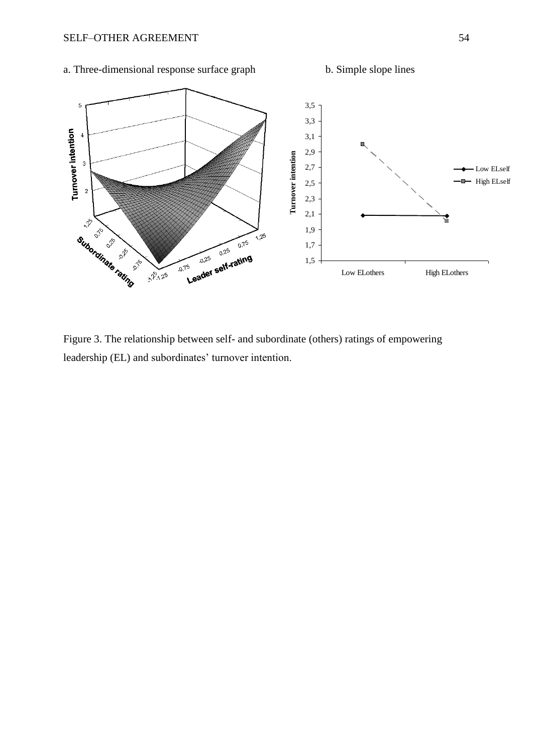## a. Three-dimensional response surface graph b. Simple slope lines





Figure 3. The relationship between self- and subordinate (others) ratings of empowering leadership (EL) and subordinates' turnover intention.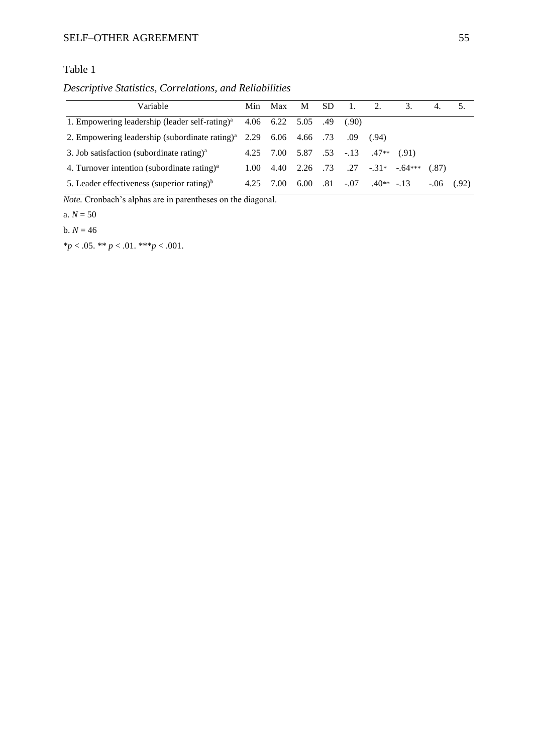### SELF–OTHER AGREEMENT 55

### Table 1

*Descriptive Statistics, Correlations, and Reliabilities*

| Variable                                                                                              | Min  | Max  |               | M SD | 1.     | 2.          | 3.            | 4.     |       |
|-------------------------------------------------------------------------------------------------------|------|------|---------------|------|--------|-------------|---------------|--------|-------|
| 1. Empowering leadership (leader self-rating) <sup><math>\alpha</math></sup> 4.06 6.22 5.05 .49 (.90) |      |      |               |      |        |             |               |        |       |
| 2. Empowering leadership (subordinate rating) <sup>a</sup> 2.29                                       |      |      | 6.06 4.66 .73 |      | .09    | (.94)       |               |        |       |
| 3. Job satisfaction (subordinate rating) <sup>a</sup>                                                 | 4.25 | 7.00 | 5.87 .53 -.13 |      |        | $.47**$     | (.91)         |        |       |
| 4. Turnover intention (subordinate rating) <sup>a</sup>                                               | 1.00 | 4.40 | 2.26 .73      |      | .27    |             | $-31* -64***$ | (.87)  |       |
| 5. Leader effectiveness (superior rating) <sup>b</sup>                                                | 4.25 | 7.00 | 6.00 .81      |      | $-.07$ | $.40**-.13$ |               | $-.06$ | (.92) |

*Note.* Cronbach's alphas are in parentheses on the diagonal.

a.  $N = 50$ 

 $b. N = 46$ 

 $**p* < .05. ** *p* < .01. *** *p* < .001.$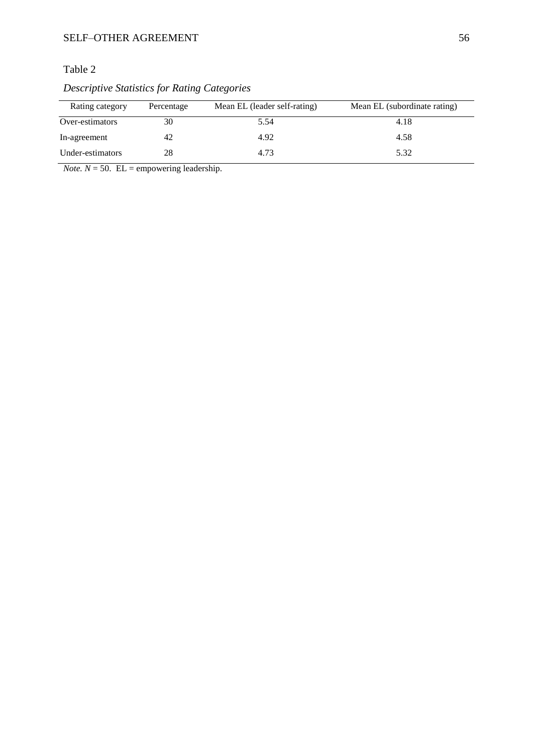## SELF-OTHER AGREEMENT 56

## Table 2

| Rating category  | Percentage | Mean EL (leader self-rating) | Mean EL (subordinate rating) |
|------------------|------------|------------------------------|------------------------------|
| Over-estimators  | 30         | 5.54                         | 4.18                         |
| In-agreement     | 42         | 4.92                         | 4.58                         |
| Under-estimators | 28         | 4.73                         | 5.32                         |

*Descriptive Statistics for Rating Categories*

*Note.*  $N = 50$ .  $EL = \text{empovering leadership.}$